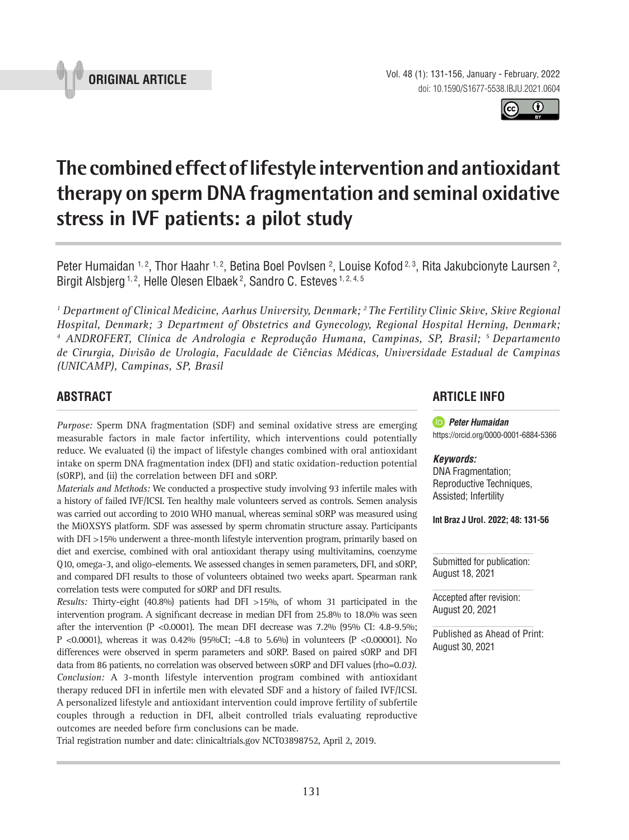

Vol. 48 (1): 131-156, January - February, 2022 doi: 10.1590/S1677-5538.IBJU.2021.0604

**The combined effect of lifestyle intervention and antioxidant therapy on sperm DNA fragmentation and seminal oxidative stress in IVF patients: a pilot study \_\_\_\_\_\_\_\_\_\_\_\_\_\_\_\_\_\_\_\_\_\_\_\_\_\_\_\_\_\_\_\_\_\_\_\_\_\_\_\_\_\_\_\_\_\_\_**

Peter Humaidan <sup>1, 2</sup>, Thor Haahr <sup>1, 2</sup>, Betina Boel Povlsen <sup>2</sup>, Louise Kofod <sup>2, 3</sup>, Rita Jakubcionyte Laursen <sup>2</sup>, Birgit Alsbjerg <sup>1, 2</sup>, Helle Olesen Elbaek<sup>2</sup>, Sandro C. Esteves <sup>1, 2, 4, 5</sup>

*1 Department of Clinical Medicine, Aarhus University, Denmark; 2 The Fertility Clinic Skive, Skive Regional Hospital, Denmark; 3 Department of Obstetrics and Gynecology, Regional Hospital Herning, Denmark;*  <sup>4</sup> ANDROFERT, Clínica de Andrologia e Reprodução Humana, Campinas, SP, Brasil; <sup>5</sup> Departamento *de Cirurgia, Divisão de Urologia, Faculdade de Ciências Médicas, Universidade Estadual de Campinas (UNICAMP), Campinas, SP, Brasil*

# **ABSTRACT**

*Purpose:* Sperm DNA fragmentation (SDF) and seminal oxidative stress are emerging measurable factors in male factor infertility, which interventions could potentially reduce. We evaluated (i) the impact of lifestyle changes combined with oral antioxidant intake on sperm DNA fragmentation index (DFI) and static oxidation-reduction potential (sORP), and (ii) the correlation between DFI and sORP.

*Materials and Methods:* We conducted a prospective study involving 93 infertile males with a history of failed IVF/ICSI. Ten healthy male volunteers served as controls. Semen analysis was carried out according to 2010 WHO manual, whereas seminal sORP was measured using the MiOXSYS platform. SDF was assessed by sperm chromatin structure assay. Participants with DFI >15% underwent a three-month lifestyle intervention program, primarily based on diet and exercise, combined with oral antioxidant therapy using multivitamins, coenzyme Q10, omega-3, and oligo-elements. We assessed changes in semen parameters, DFI, and sORP, and compared DFI results to those of volunteers obtained two weeks apart. Spearman rank correlation tests were computed for sORP and DFI results.

*Results:* Thirty-eight (40.8%) patients had DFI >15%, of whom 31 participated in the intervention program. A significant decrease in median DFI from 25.8% to 18.0% was seen after the intervention (P <0.0001). The mean DFI decrease was  $7.2\%$  (95% CI: 4.8-9.5%; P <0.0001), whereas it was 0.42% (95%CI; -4.8 to 5.6%) in volunteers (P <0.00001). No differences were observed in sperm parameters and sORP. Based on paired sORP and DFI data from 86 patients, no correlation was observed between sORP and DFI values (rho=0.*03). Conclusion:* A 3-month lifestyle intervention program combined with antioxidant therapy reduced DFI in infertile men with elevated SDF and a history of failed IVF/ICSI. A personalized lifestyle and antioxidant intervention could improve fertility of subfertile couples through a reduction in DFI, albeit controlled trials evaluating reproductive outcomes are needed before firm conclusions can be made.

Trial registration number and date: clinicaltrials.gov NCT03898752, April 2, 2019.

# **ARTICLE INFO**

 *Peter Humaidan* https://orcid.org/0000-0001-6884-5366

#### *Keywords:*

DNA Fragmentation; Reproductive Techniques, Assisted; Infertility

**Int Braz J Urol. 2022; 48: 131-56**

Submitted for publication: August 18, 2021

Accepted after revision: August 20, 2021

Published as Ahead of Print: August 30, 2021



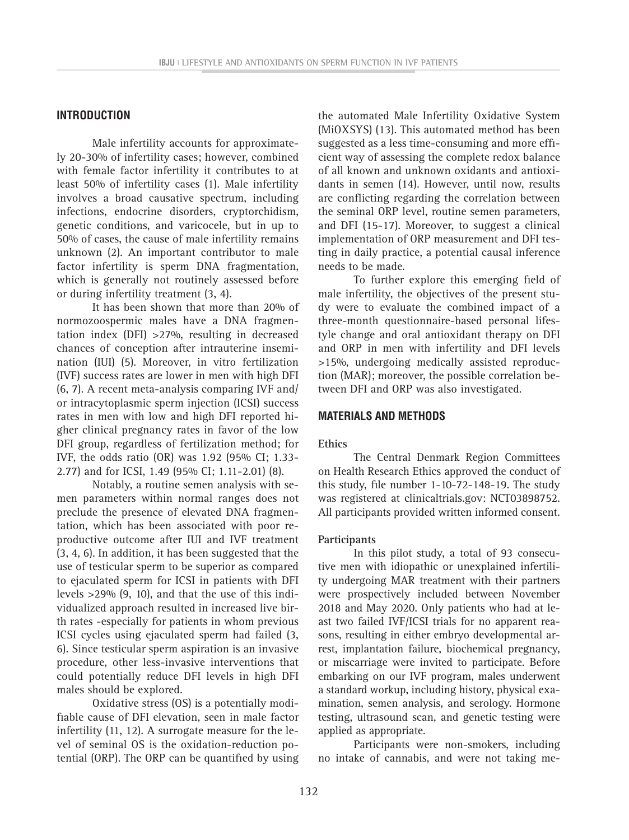## **INTRODUCTION**

Male infertility accounts for approximately 20-30% of infertility cases; however, combined with female factor infertility it contributes to at least 50% of infertility cases (1). Male infertility involves a broad causative spectrum, including infections, endocrine disorders, cryptorchidism, genetic conditions, and varicocele, but in up to 50% of cases, the cause of male infertility remains unknown (2). An important contributor to male factor infertility is sperm DNA fragmentation, which is generally not routinely assessed before or during infertility treatment (3, 4).

It has been shown that more than 20% of normozoospermic males have a DNA fragmentation index (DFI) >27%, resulting in decreased chances of conception after intrauterine insemination (IUI) (5). Moreover, in vitro fertilization (IVF) success rates are lower in men with high DFI (6, 7). A recent meta-analysis comparing IVF and/ or intracytoplasmic sperm injection (ICSI) success rates in men with low and high DFI reported higher clinical pregnancy rates in favor of the low DFI group, regardless of fertilization method; for IVF, the odds ratio (OR) was 1.92 (95% CI; 1.33- 2.77) and for ICSI, 1.49 (95% CI; 1.11-2.01) (8).

Notably, a routine semen analysis with semen parameters within normal ranges does not preclude the presence of elevated DNA fragmentation, which has been associated with poor reproductive outcome after IUI and IVF treatment (3, 4, 6). In addition, it has been suggested that the use of testicular sperm to be superior as compared to ejaculated sperm for ICSI in patients with DFI levels >29% (9, 10), and that the use of this individualized approach resulted in increased live birth rates -especially for patients in whom previous ICSI cycles using ejaculated sperm had failed (3, 6). Since testicular sperm aspiration is an invasive procedure, other less-invasive interventions that could potentially reduce DFI levels in high DFI males should be explored.

Oxidative stress (OS) is a potentially modifiable cause of DFI elevation, seen in male factor infertility (11, 12). A surrogate measure for the level of seminal OS is the oxidation-reduction potential (ORP). The ORP can be quantified by using

the automated Male Infertility Oxidative System (MiOXSYS) (13). This automated method has been suggested as a less time-consuming and more efficient way of assessing the complete redox balance of all known and unknown oxidants and antioxidants in semen (14). However, until now, results are conflicting regarding the correlation between the seminal ORP level, routine semen parameters, and DFI (15-17). Moreover, to suggest a clinical implementation of ORP measurement and DFI testing in daily practice, a potential causal inference needs to be made.

To further explore this emerging field of male infertility, the objectives of the present study were to evaluate the combined impact of a three-month questionnaire-based personal lifestyle change and oral antioxidant therapy on DFI and ORP in men with infertility and DFI levels >15%, undergoing medically assisted reproduction (MAR); moreover, the possible correlation between DFI and ORP was also investigated.

#### **MATERIALS AND METHODS**

#### **Ethics**

The Central Denmark Region Committees on Health Research Ethics approved the conduct of this study, file number 1-10-72-148-19. The study was registered at clinicaltrials.gov: NCT03898752. All participants provided written informed consent.

### **Participants**

In this pilot study, a total of 93 consecutive men with idiopathic or unexplained infertility undergoing MAR treatment with their partners were prospectively included between November 2018 and May 2020. Only patients who had at least two failed IVF/ICSI trials for no apparent reasons, resulting in either embryo developmental arrest, implantation failure, biochemical pregnancy, or miscarriage were invited to participate. Before embarking on our IVF program, males underwent a standard workup, including history, physical examination, semen analysis, and serology. Hormone testing, ultrasound scan, and genetic testing were applied as appropriate.

Participants were non-smokers, including no intake of cannabis, and were not taking me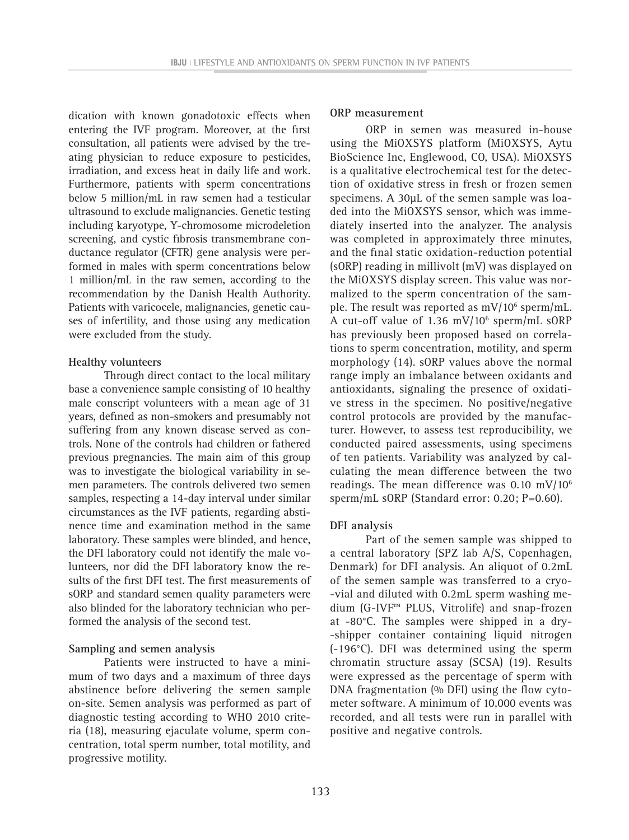dication with known gonadotoxic effects when entering the IVF program. Moreover, at the first consultation, all patients were advised by the treating physician to reduce exposure to pesticides, irradiation, and excess heat in daily life and work. Furthermore, patients with sperm concentrations below 5 million/mL in raw semen had a testicular ultrasound to exclude malignancies. Genetic testing including karyotype, Y-chromosome microdeletion screening, and cystic fibrosis transmembrane conductance regulator (CFTR) gene analysis were performed in males with sperm concentrations below 1 million/mL in the raw semen, according to the recommendation by the Danish Health Authority. Patients with varicocele, malignancies, genetic causes of infertility, and those using any medication were excluded from the study.

#### **Healthy volunteers**

Through direct contact to the local military base a convenience sample consisting of 10 healthy male conscript volunteers with a mean age of 31 years, defined as non-smokers and presumably not suffering from any known disease served as controls. None of the controls had children or fathered previous pregnancies. The main aim of this group was to investigate the biological variability in semen parameters. The controls delivered two semen samples, respecting a 14-day interval under similar circumstances as the IVF patients, regarding abstinence time and examination method in the same laboratory. These samples were blinded, and hence, the DFI laboratory could not identify the male volunteers, nor did the DFI laboratory know the results of the first DFI test. The first measurements of sORP and standard semen quality parameters were also blinded for the laboratory technician who performed the analysis of the second test.

### **Sampling and semen analysis**

Patients were instructed to have a minimum of two days and a maximum of three days abstinence before delivering the semen sample on-site. Semen analysis was performed as part of diagnostic testing according to WHO 2010 criteria (18), measuring ejaculate volume, sperm concentration, total sperm number, total motility, and progressive motility.

## **ORP measurement**

ORP in semen was measured in-house using the MiOXSYS platform (MiOXSYS, Aytu BioScience Inc, Englewood, CO, USA). MiOXSYS is a qualitative electrochemical test for the detection of oxidative stress in fresh or frozen semen specimens. A 30µL of the semen sample was loaded into the MiOXSYS sensor, which was immediately inserted into the analyzer. The analysis was completed in approximately three minutes, and the final static oxidation-reduction potential (sORP) reading in millivolt (mV) was displayed on the MiOXSYS display screen. This value was normalized to the sperm concentration of the sample. The result was reported as  $mV/10^6$  sperm/mL. A cut-off value of 1.36 mV/10<sup>6</sup> sperm/mL sORP has previously been proposed based on correlations to sperm concentration, motility, and sperm morphology (14). sORP values above the normal range imply an imbalance between oxidants and antioxidants, signaling the presence of oxidative stress in the specimen. No positive/negative control protocols are provided by the manufacturer. However, to assess test reproducibility, we conducted paired assessments, using specimens of ten patients. Variability was analyzed by calculating the mean difference between the two readings. The mean difference was  $0.10 \text{ mV}/10^6$ sperm/mL sORP (Standard error: 0.20; P=0.60).

#### **DFI analysis**

Part of the semen sample was shipped to a central laboratory (SPZ lab A/S, Copenhagen, Denmark) for DFI analysis. An aliquot of 0.2mL of the semen sample was transferred to a cryo- -vial and diluted with 0.2mL sperm washing medium (G-IVF™ PLUS, Vitrolife) and snap-frozen at -80°C. The samples were shipped in a dry- -shipper container containing liquid nitrogen (-196°C). DFI was determined using the sperm chromatin structure assay (SCSA) (19). Results were expressed as the percentage of sperm with DNA fragmentation (% DFI) using the flow cytometer software. A minimum of 10,000 events was recorded, and all tests were run in parallel with positive and negative controls.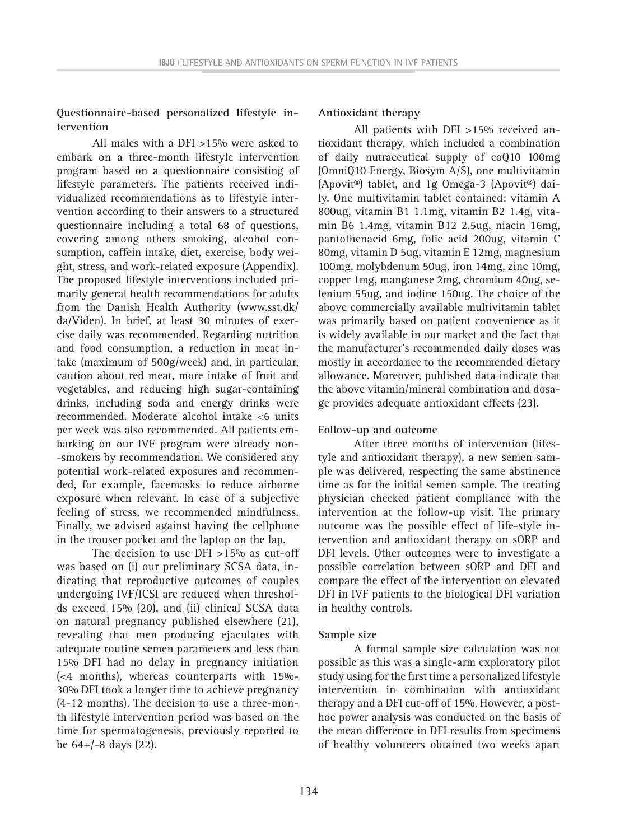# **Questionnaire-based personalized lifestyle intervention**

All males with a DFI >15% were asked to embark on a three-month lifestyle intervention program based on a questionnaire consisting of lifestyle parameters. The patients received individualized recommendations as to lifestyle intervention according to their answers to a structured questionnaire including a total 68 of questions, covering among others smoking, alcohol consumption, caffein intake, diet, exercise, body weight, stress, and work-related exposure (Appendix). The proposed lifestyle interventions included primarily general health recommendations for adults from the Danish Health Authority (www.sst.dk/ da/Viden). In brief, at least 30 minutes of exercise daily was recommended. Regarding nutrition and food consumption, a reduction in meat intake (maximum of 500g/week) and, in particular, caution about red meat, more intake of fruit and vegetables, and reducing high sugar-containing drinks, including soda and energy drinks were recommended. Moderate alcohol intake <6 units per week was also recommended. All patients embarking on our IVF program were already non- -smokers by recommendation. We considered any potential work-related exposures and recommended, for example, facemasks to reduce airborne exposure when relevant. In case of a subjective feeling of stress, we recommended mindfulness. Finally, we advised against having the cellphone in the trouser pocket and the laptop on the lap.

The decision to use DFI >15% as cut-off was based on (i) our preliminary SCSA data, indicating that reproductive outcomes of couples undergoing IVF/ICSI are reduced when thresholds exceed 15% (20), and (ii) clinical SCSA data on natural pregnancy published elsewhere (21), revealing that men producing ejaculates with adequate routine semen parameters and less than 15% DFI had no delay in pregnancy initiation (<4 months), whereas counterparts with 15%- 30% DFI took a longer time to achieve pregnancy (4-12 months). The decision to use a three-month lifestyle intervention period was based on the time for spermatogenesis, previously reported to be 64+/-8 days (22).

## **Antioxidant therapy**

All patients with DFI >15% received antioxidant therapy, which included a combination of daily nutraceutical supply of coQ10 100mg (OmniQ10 Energy, Biosym A/S), one multivitamin (Apovit®) tablet, and 1g Omega-3 (Apovit®) daily. One multivitamin tablet contained: vitamin A 800ug, vitamin B1 1.1mg, vitamin B2 1.4g, vitamin B6 1.4mg, vitamin B12 2.5ug, niacin 16mg, pantothenacid 6mg, folic acid 200ug, vitamin C 80mg, vitamin D 5ug, vitamin E 12mg, magnesium 100mg, molybdenum 50ug, iron 14mg, zinc 10mg, copper 1mg, manganese 2mg, chromium 40ug, selenium 55ug, and iodine 150ug. The choice of the above commercially available multivitamin tablet was primarily based on patient convenience as it is widely available in our market and the fact that the manufacturer's recommended daily doses was mostly in accordance to the recommended dietary allowance. Moreover, published data indicate that the above vitamin/mineral combination and dosage provides adequate antioxidant effects (23).

### **Follow-up and outcome**

After three months of intervention (lifestyle and antioxidant therapy), a new semen sample was delivered, respecting the same abstinence time as for the initial semen sample. The treating physician checked patient compliance with the intervention at the follow-up visit. The primary outcome was the possible effect of life-style intervention and antioxidant therapy on sORP and DFI levels. Other outcomes were to investigate a possible correlation between sORP and DFI and compare the effect of the intervention on elevated DFI in IVF patients to the biological DFI variation in healthy controls.

#### **Sample size**

A formal sample size calculation was not possible as this was a single-arm exploratory pilot study using for the first time a personalized lifestyle intervention in combination with antioxidant therapy and a DFI cut-off of 15%. However, a posthoc power analysis was conducted on the basis of the mean difference in DFI results from specimens of healthy volunteers obtained two weeks apart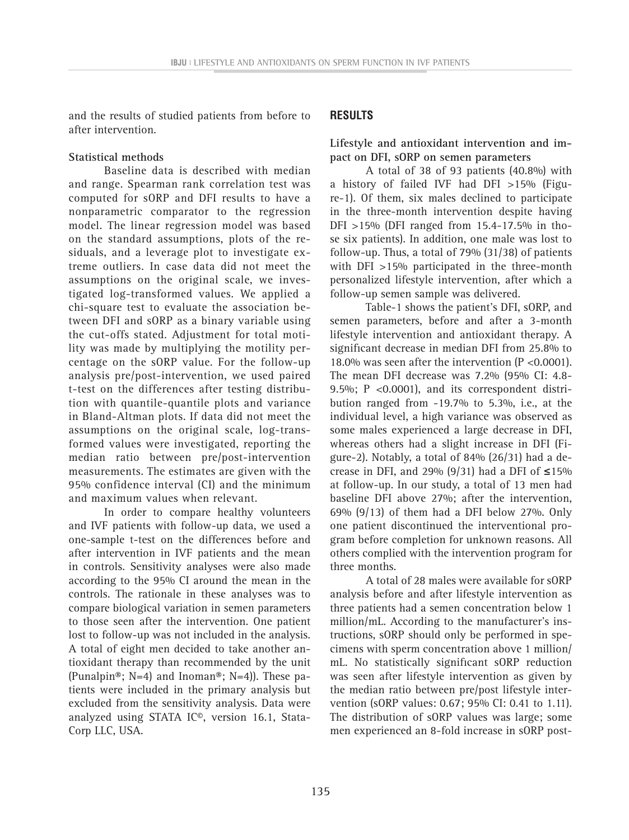and the results of studied patients from before to after intervention.

# **Statistical methods**

Baseline data is described with median and range. Spearman rank correlation test was computed for sORP and DFI results to have a nonparametric comparator to the regression model. The linear regression model was based on the standard assumptions, plots of the residuals, and a leverage plot to investigate extreme outliers. In case data did not meet the assumptions on the original scale, we investigated log-transformed values. We applied a chi-square test to evaluate the association between DFI and sORP as a binary variable using the cut-offs stated. Adjustment for total motility was made by multiplying the motility percentage on the sORP value. For the follow-up analysis pre/post-intervention, we used paired t-test on the differences after testing distribution with quantile-quantile plots and variance in Bland-Altman plots. If data did not meet the assumptions on the original scale, log-transformed values were investigated, reporting the median ratio between pre/post-intervention measurements. The estimates are given with the 95% confidence interval (CI) and the minimum and maximum values when relevant.

In order to compare healthy volunteers and IVF patients with follow-up data, we used a one-sample t-test on the differences before and after intervention in IVF patients and the mean in controls. Sensitivity analyses were also made according to the 95% CI around the mean in the controls. The rationale in these analyses was to compare biological variation in semen parameters to those seen after the intervention. One patient lost to follow-up was not included in the analysis. A total of eight men decided to take another antioxidant therapy than recommended by the unit (Punalpin®; N=4) and Inoman®; N=4)). These patients were included in the primary analysis but excluded from the sensitivity analysis. Data were analyzed using STATA IC©, version 16.1, Stata-Corp LLC, USA.

# **RESULTS**

**Lifestyle and antioxidant intervention and impact on DFI, sORP on semen parameters**

A total of 38 of 93 patients (40.8%) with a history of failed IVF had DFI >15% (Figure-1). Of them, six males declined to participate in the three-month intervention despite having DFI >15% (DFI ranged from 15.4-17.5% in those six patients). In addition, one male was lost to follow-up. Thus, a total of 79% (31/38) of patients with DFI >15% participated in the three-month personalized lifestyle intervention, after which a follow-up semen sample was delivered.

Table-1 shows the patient's DFI, sORP, and semen parameters, before and after a 3-month lifestyle intervention and antioxidant therapy. A significant decrease in median DFI from 25.8% to 18.0% was seen after the intervention (P <0.0001). The mean DFI decrease was 7.2% (95% CI: 4.8- 9.5%; P <0.0001), and its correspondent distribution ranged from -19.7% to 5.3%, i.e., at the individual level, a high variance was observed as some males experienced a large decrease in DFI, whereas others had a slight increase in DFI (Figure-2). Notably, a total of 84% (26/31) had a decrease in DFI, and 29% (9/31) had a DFI of **≤**15% at follow-up. In our study, a total of 13 men had baseline DFI above 27%; after the intervention, 69% (9/13) of them had a DFI below 27%. Only one patient discontinued the interventional program before completion for unknown reasons. All others complied with the intervention program for three months.

A total of 28 males were available for sORP analysis before and after lifestyle intervention as three patients had a semen concentration below 1 million/mL. According to the manufacturer's instructions, sORP should only be performed in specimens with sperm concentration above 1 million/ mL. No statistically significant sORP reduction was seen after lifestyle intervention as given by the median ratio between pre/post lifestyle intervention (sORP values: 0.67; 95% CI: 0.41 to 1.11). The distribution of sORP values was large; some men experienced an 8-fold increase in sORP post-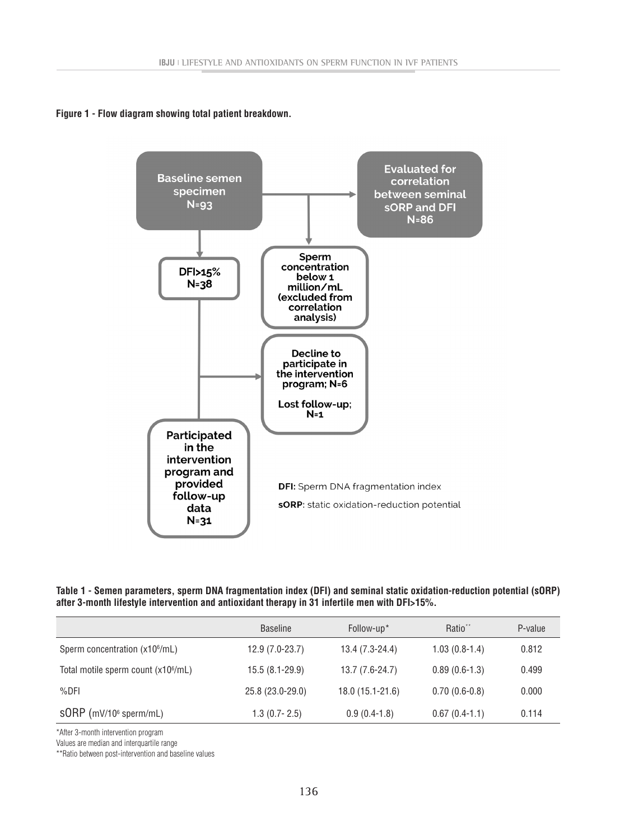**Figure 1 - Flow diagram showing total patient breakdown.**



**Table 1 - Semen parameters, sperm DNA fragmentation index (DFI) and seminal static oxidation-reduction potential (sORP) after 3-month lifestyle intervention and antioxidant therapy in 31 infertile men with DFI>15%.**

|                                                 | <b>Baseline</b>  | Follow-up*        | Ratio <sup>**</sup> | P-value |
|-------------------------------------------------|------------------|-------------------|---------------------|---------|
| Sperm concentration (x10 <sup>6</sup> /mL)      | $12.9(7.0-23.7)$ | $13.4(7.3-24.4)$  | $1.03(0.8-1.4)$     | 0.812   |
| Total motile sperm count (x10 <sup>6</sup> /mL) | $15.5(8.1-29.9)$ | $13.7(7.6-24.7)$  | $0.89(0.6-1.3)$     | 0.499   |
| $%$ DFI                                         | 25.8 (23.0-29.0) | $18.0(15.1-21.6)$ | $0.70(0.6-0.8)$     | 0.000   |
| $SORP$ (mV/10 $\degree$ sperm/mL)               | $1.3(0.7 - 2.5)$ | $0.9(0.4-1.8)$    | $0.67(0.4-1.1)$     | 0.114   |

\*After 3-month intervention program

Values are median and interquartile range

\*\*Ratio between post-intervention and baseline values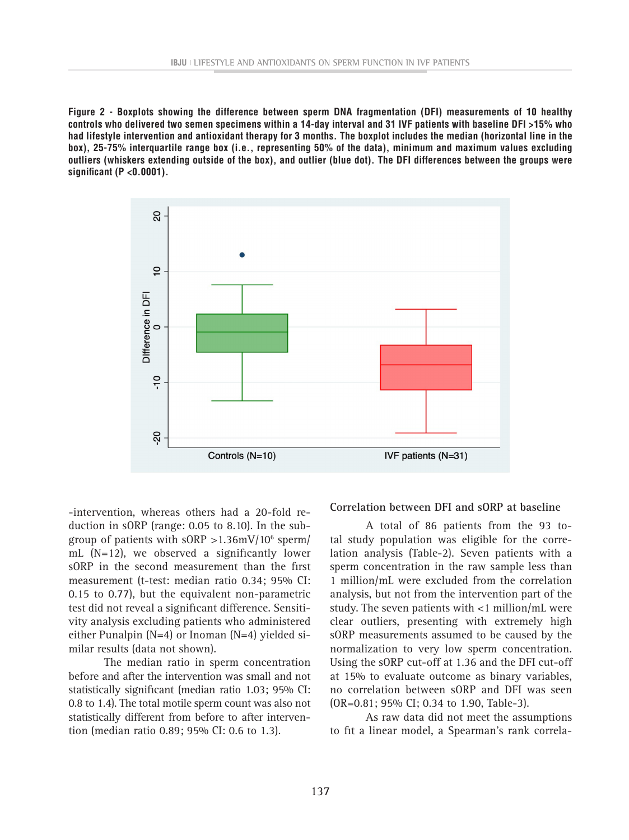**Figure 2 - Boxplots showing the difference between sperm DNA fragmentation (DFI) measurements of 10 healthy controls who delivered two semen specimens within a 14-day interval and 31 IVF patients with baseline DFI >15% who had lifestyle intervention and antioxidant therapy for 3 months. The boxplot includes the median (horizontal line in the box), 25-75% interquartile range box (i.e., representing 50% of the data), minimum and maximum values excluding outliers (whiskers extending outside of the box), and outlier (blue dot). The DFI differences between the groups were significant (P <0.0001).**



-intervention, whereas others had a 20-fold reduction in sORP (range: 0.05 to 8.10). In the subgroup of patients with sORP >1.36mV/106 sperm/ mL (N=12), we observed a significantly lower sORP in the second measurement than the first measurement (t-test: median ratio 0.34; 95% CI: 0.15 to 0.77), but the equivalent non-parametric test did not reveal a significant difference. Sensitivity analysis excluding patients who administered either Punalpin (N=4) or Inoman (N=4) yielded similar results (data not shown).

The median ratio in sperm concentration before and after the intervention was small and not statistically significant (median ratio 1.03; 95% CI: 0.8 to 1.4). The total motile sperm count was also not statistically different from before to after intervention (median ratio 0.89; 95% CI: 0.6 to 1.3).

#### **Correlation between DFI and sORP at baseline**

A total of 86 patients from the 93 total study population was eligible for the correlation analysis (Table-2). Seven patients with a sperm concentration in the raw sample less than 1 million/mL were excluded from the correlation analysis, but not from the intervention part of the study. The seven patients with <1 million/mL were clear outliers, presenting with extremely high sORP measurements assumed to be caused by the normalization to very low sperm concentration. Using the sORP cut-off at 1.36 and the DFI cut-off at 15% to evaluate outcome as binary variables, no correlation between sORP and DFI was seen (OR=0.81; 95% CI; 0.34 to 1.90, Table-3).

As raw data did not meet the assumptions to fit a linear model, a Spearman's rank correla-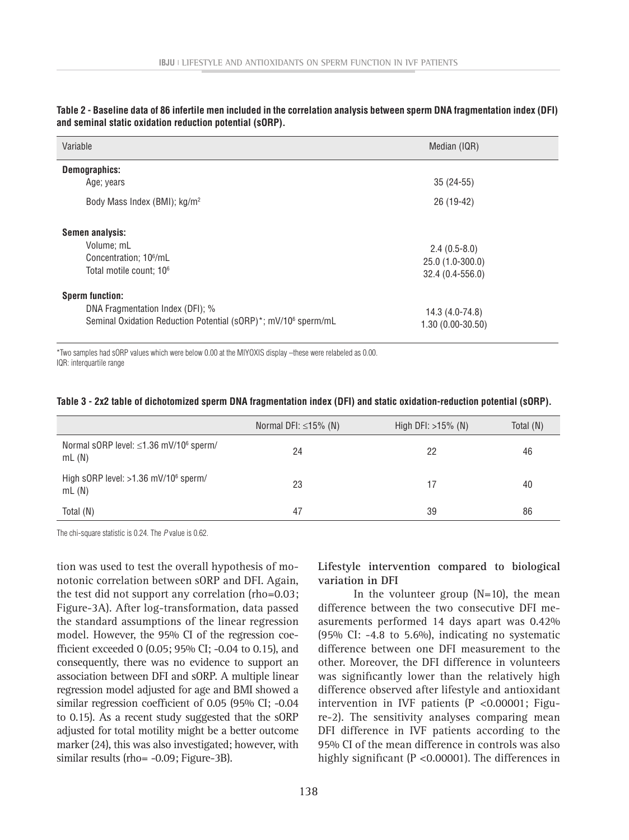| Variable                                                                                                                                 | Median (IQR)                                           |
|------------------------------------------------------------------------------------------------------------------------------------------|--------------------------------------------------------|
| Demographics:<br>Age; years<br>Body Mass Index (BMI); kg/m <sup>2</sup>                                                                  | $35(24-55)$<br>26 (19-42)                              |
| Semen analysis:<br>Volume; mL<br>Concentration; 10 <sup>6</sup> /mL<br>Total motile count; 10 <sup>6</sup>                               | $2.4(0.5-8.0)$<br>25.0 (1.0-300.0)<br>32.4 (0.4-556.0) |
| <b>Sperm function:</b><br>DNA Fragmentation Index (DFI); %<br>Seminal Oxidation Reduction Potential (sORP)*; mV/10 <sup>6</sup> sperm/mL | 14.3 (4.0-74.8)<br>$1.30(0.00-30.50)$                  |

**Table 2 - Baseline data of 86 infertile men included in the correlation analysis between sperm DNA fragmentation index (DFI) and seminal static oxidation reduction potential (sORP).** 

\*Two samples had sORP values which were below 0.00 at the MIYOXIS display –these were relabeled as 0.00. IQR: interquartile range

| Table 3 - 2x2 table of dichotomized sperm DNA fragmentation index (DFI) and static oxidation-reduction potential (sORP). |  |  |  |
|--------------------------------------------------------------------------------------------------------------------------|--|--|--|
|--------------------------------------------------------------------------------------------------------------------------|--|--|--|

|                                                             | Normal DFI: $\leq$ 15% (N) | High DFI: $>15\%$ (N) | Total (N) |
|-------------------------------------------------------------|----------------------------|-----------------------|-----------|
| Normal sORP level: ≤1.36 mV/10 <sup>6</sup> sperm/<br>mL(N) | 24                         | 22                    | 46        |
| High sORP level: >1.36 mV/10 <sup>6</sup> sperm/<br>mL(M)   | 23                         | 17                    | 40        |
| Total (N)                                                   | 47                         | 39                    | 86        |

The chi-square statistic is 0.24. The *P* value is 0.62.

tion was used to test the overall hypothesis of monotonic correlation between sORP and DFI. Again, the test did not support any correlation (rho=0.03; Figure-3A). After log-transformation, data passed the standard assumptions of the linear regression model. However, the 95% CI of the regression coefficient exceeded 0 (0.05; 95% CI; -0.04 to 0.15), and consequently, there was no evidence to support an association between DFI and sORP. A multiple linear regression model adjusted for age and BMI showed a similar regression coefficient of 0.05 (95% CI; -0.04 to 0.15). As a recent study suggested that the sORP adjusted for total motility might be a better outcome marker (24), this was also investigated; however, with similar results (rho= -0.09; Figure-3B).

**Lifestyle intervention compared to biological variation in DFI**

In the volunteer group  $(N=10)$ , the mean difference between the two consecutive DFI measurements performed 14 days apart was 0.42% (95% CI: -4.8 to 5.6%), indicating no systematic difference between one DFI measurement to the other. Moreover, the DFI difference in volunteers was significantly lower than the relatively high difference observed after lifestyle and antioxidant intervention in IVF patients (P <0.00001; Figure-2). The sensitivity analyses comparing mean DFI difference in IVF patients according to the 95% CI of the mean difference in controls was also highly significant (P <0.00001). The differences in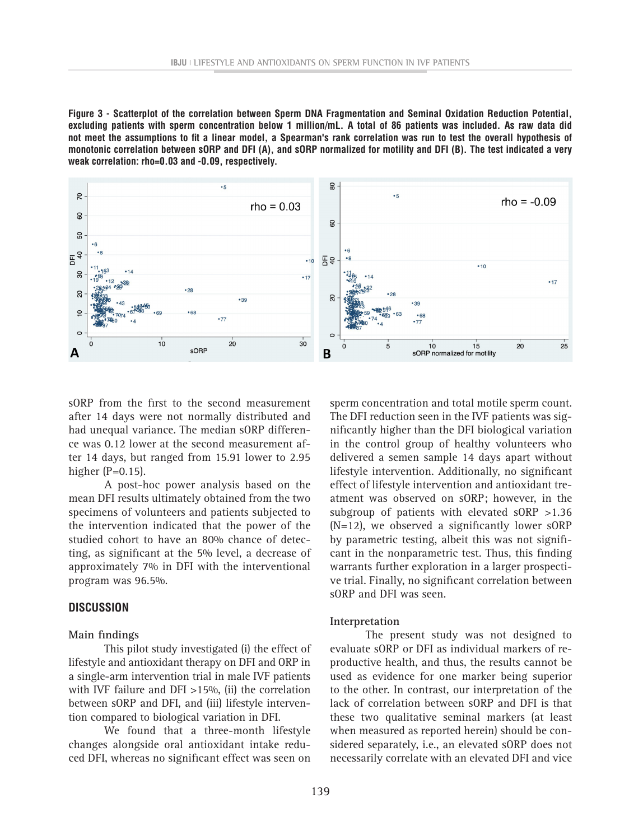**Figure 3 - Scatterplot of the correlation between Sperm DNA Fragmentation and Seminal Oxidation Reduction Potential, excluding patients with sperm concentration below 1 million/mL. A total of 86 patients was included. As raw data did not meet the assumptions to fit a linear model, a Spearman's rank correlation was run to test the overall hypothesis of monotonic correlation between sORP and DFI (A), and sORP normalized for motility and DFI (B). The test indicated a very weak correlation: rho=0.03 and -0.09, respectively.**



sORP from the first to the second measurement after 14 days were not normally distributed and had unequal variance. The median sORP difference was 0.12 lower at the second measurement after 14 days, but ranged from 15.91 lower to 2.95 higher  $(P=0.15)$ .

A post-hoc power analysis based on the mean DFI results ultimately obtained from the two specimens of volunteers and patients subjected to the intervention indicated that the power of the studied cohort to have an 80% chance of detecting, as significant at the 5% level, a decrease of approximately 7% in DFI with the interventional program was 96.5%.

### **DISCUSSION**

#### **Main findings**

This pilot study investigated (i) the effect of lifestyle and antioxidant therapy on DFI and ORP in a single-arm intervention trial in male IVF patients with IVF failure and DFI >15%, (ii) the correlation between sORP and DFI, and (iii) lifestyle intervention compared to biological variation in DFI.

We found that a three-month lifestyle changes alongside oral antioxidant intake reduced DFI, whereas no significant effect was seen on sperm concentration and total motile sperm count. The DFI reduction seen in the IVF patients was significantly higher than the DFI biological variation in the control group of healthy volunteers who delivered a semen sample 14 days apart without lifestyle intervention. Additionally, no significant effect of lifestyle intervention and antioxidant treatment was observed on sORP; however, in the subgroup of patients with elevated sORP >1.36 (N=12), we observed a significantly lower sORP by parametric testing, albeit this was not significant in the nonparametric test. Thus, this finding warrants further exploration in a larger prospective trial. Finally, no significant correlation between sORP and DFI was seen.

#### **Interpretation**

The present study was not designed to evaluate sORP or DFI as individual markers of reproductive health, and thus, the results cannot be used as evidence for one marker being superior to the other. In contrast, our interpretation of the lack of correlation between sORP and DFI is that these two qualitative seminal markers (at least when measured as reported herein) should be considered separately, i.e., an elevated sORP does not necessarily correlate with an elevated DFI and vice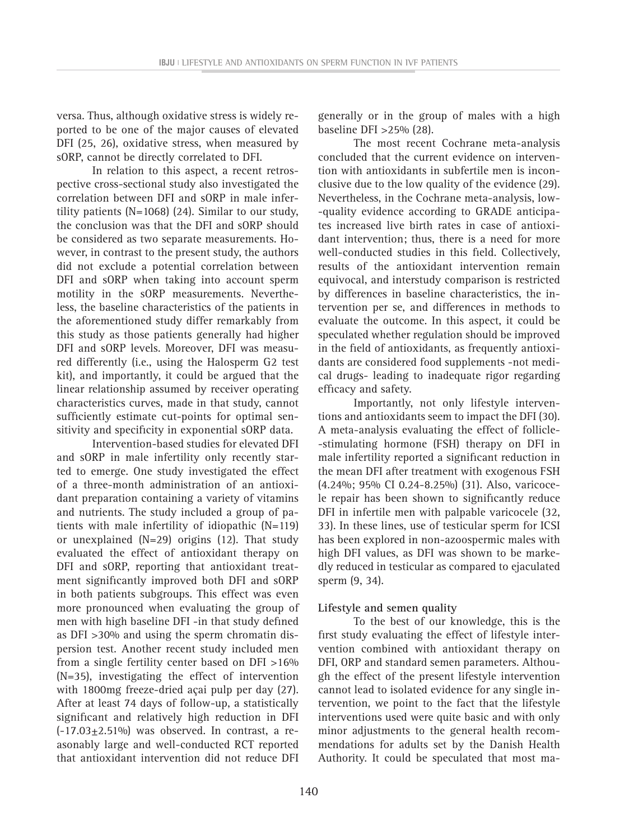versa. Thus, although oxidative stress is widely reported to be one of the major causes of elevated DFI (25, 26), oxidative stress, when measured by sORP, cannot be directly correlated to DFI.

In relation to this aspect, a recent retrospective cross-sectional study also investigated the correlation between DFI and sORP in male infertility patients (N=1068) (24). Similar to our study, the conclusion was that the DFI and sORP should be considered as two separate measurements. However, in contrast to the present study, the authors did not exclude a potential correlation between DFI and sORP when taking into account sperm motility in the sORP measurements. Nevertheless, the baseline characteristics of the patients in the aforementioned study differ remarkably from this study as those patients generally had higher DFI and sORP levels. Moreover, DFI was measured differently (i.e., using the Halosperm G2 test kit), and importantly, it could be argued that the linear relationship assumed by receiver operating characteristics curves, made in that study, cannot sufficiently estimate cut-points for optimal sensitivity and specificity in exponential sORP data.

Intervention-based studies for elevated DFI and sORP in male infertility only recently started to emerge. One study investigated the effect of a three-month administration of an antioxidant preparation containing a variety of vitamins and nutrients. The study included a group of patients with male infertility of idiopathic (N=119) or unexplained (N=29) origins (12). That study evaluated the effect of antioxidant therapy on DFI and sORP, reporting that antioxidant treatment significantly improved both DFI and sORP in both patients subgroups. This effect was even more pronounced when evaluating the group of men with high baseline DFI -in that study defined as DFI >30% and using the sperm chromatin dispersion test. Another recent study included men from a single fertility center based on DFI >16% (N=35), investigating the effect of intervention with 1800mg freeze-dried açai pulp per day (27). After at least 74 days of follow-up, a statistically significant and relatively high reduction in DFI  $(-17.03\pm2.51\%)$  was observed. In contrast, a reasonably large and well-conducted RCT reported that antioxidant intervention did not reduce DFI

generally or in the group of males with a high baseline DFI >25% (28).

The most recent Cochrane meta-analysis concluded that the current evidence on intervention with antioxidants in subfertile men is inconclusive due to the low quality of the evidence (29). Nevertheless, in the Cochrane meta-analysis, low- -quality evidence according to GRADE anticipates increased live birth rates in case of antioxidant intervention; thus, there is a need for more well-conducted studies in this field. Collectively, results of the antioxidant intervention remain equivocal, and interstudy comparison is restricted by differences in baseline characteristics, the intervention per se, and differences in methods to evaluate the outcome. In this aspect, it could be speculated whether regulation should be improved in the field of antioxidants, as frequently antioxidants are considered food supplements -not medical drugs- leading to inadequate rigor regarding efficacy and safety.

Importantly, not only lifestyle interventions and antioxidants seem to impact the DFI (30). A meta-analysis evaluating the effect of follicle- -stimulating hormone (FSH) therapy on DFI in male infertility reported a significant reduction in the mean DFI after treatment with exogenous FSH (4.24%; 95% CI 0.24-8.25%) (31). Also, varicocele repair has been shown to significantly reduce DFI in infertile men with palpable varicocele (32, 33). In these lines, use of testicular sperm for ICSI has been explored in non-azoospermic males with high DFI values, as DFI was shown to be markedly reduced in testicular as compared to ejaculated sperm (9, 34).

### **Lifestyle and semen quality**

To the best of our knowledge, this is the first study evaluating the effect of lifestyle intervention combined with antioxidant therapy on DFI, ORP and standard semen parameters. Although the effect of the present lifestyle intervention cannot lead to isolated evidence for any single intervention, we point to the fact that the lifestyle interventions used were quite basic and with only minor adjustments to the general health recommendations for adults set by the Danish Health Authority. It could be speculated that most ma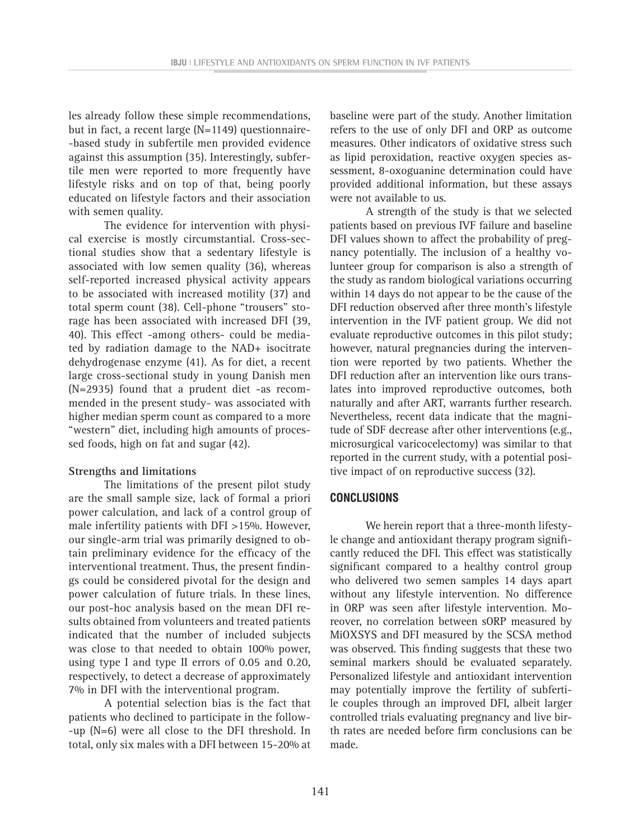les already follow these simple recommendations, but in fact, a recent large (N=1149) questionnaire- -based study in subfertile men provided evidence against this assumption (35). Interestingly, subfertile men were reported to more frequently have lifestyle risks and on top of that, being poorly educated on lifestyle factors and their association with semen quality.

The evidence for intervention with physical exercise is mostly circumstantial. Cross-sectional studies show that a sedentary lifestyle is associated with low semen quality (36), whereas self-reported increased physical activity appears to be associated with increased motility (37) and total sperm count (38). Cell-phone "trousers" storage has been associated with increased DFI (39, 40). This effect -among others- could be mediated by radiation damage to the NAD+ isocitrate dehydrogenase enzyme (41). As for diet, a recent large cross-sectional study in young Danish men (N=2935) found that a prudent diet -as recommended in the present study- was associated with higher median sperm count as compared to a more "western" diet, including high amounts of processed foods, high on fat and sugar (42).

### **Strengths and limitations**

The limitations of the present pilot study are the small sample size, lack of formal a priori power calculation, and lack of a control group of male infertility patients with DFI >15%. However, our single-arm trial was primarily designed to obtain preliminary evidence for the efficacy of the interventional treatment. Thus, the present findings could be considered pivotal for the design and power calculation of future trials. In these lines, our post-hoc analysis based on the mean DFI results obtained from volunteers and treated patients indicated that the number of included subjects was close to that needed to obtain 100% power, using type I and type II errors of 0.05 and 0.20, respectively, to detect a decrease of approximately 7% in DFI with the interventional program.

A potential selection bias is the fact that patients who declined to participate in the follow- -up (N=6) were all close to the DFI threshold. In total, only six males with a DFI between 15-20% at baseline were part of the study. Another limitation refers to the use of only DFI and ORP as outcome measures. Other indicators of oxidative stress such as lipid peroxidation, reactive oxygen species assessment, 8-oxoguanine determination could have provided additional information, but these assays were not available to us.

A strength of the study is that we selected patients based on previous IVF failure and baseline DFI values shown to affect the probability of pregnancy potentially. The inclusion of a healthy volunteer group for comparison is also a strength of the study as random biological variations occurring within 14 days do not appear to be the cause of the DFI reduction observed after three month's lifestyle intervention in the IVF patient group. We did not evaluate reproductive outcomes in this pilot study; however, natural pregnancies during the intervention were reported by two patients. Whether the DFI reduction after an intervention like ours translates into improved reproductive outcomes, both naturally and after ART, warrants further research. Nevertheless, recent data indicate that the magnitude of SDF decrease after other interventions (e.g., microsurgical varicocelectomy) was similar to that reported in the current study, with a potential positive impact of on reproductive success (32).

### **CONCLUSIONS**

We herein report that a three-month lifestyle change and antioxidant therapy program significantly reduced the DFI. This effect was statistically significant compared to a healthy control group who delivered two semen samples 14 days apart without any lifestyle intervention. No difference in ORP was seen after lifestyle intervention. Moreover, no correlation between sORP measured by MiOXSYS and DFI measured by the SCSA method was observed. This finding suggests that these two seminal markers should be evaluated separately. Personalized lifestyle and antioxidant intervention may potentially improve the fertility of subfertile couples through an improved DFI, albeit larger controlled trials evaluating pregnancy and live birth rates are needed before firm conclusions can be made.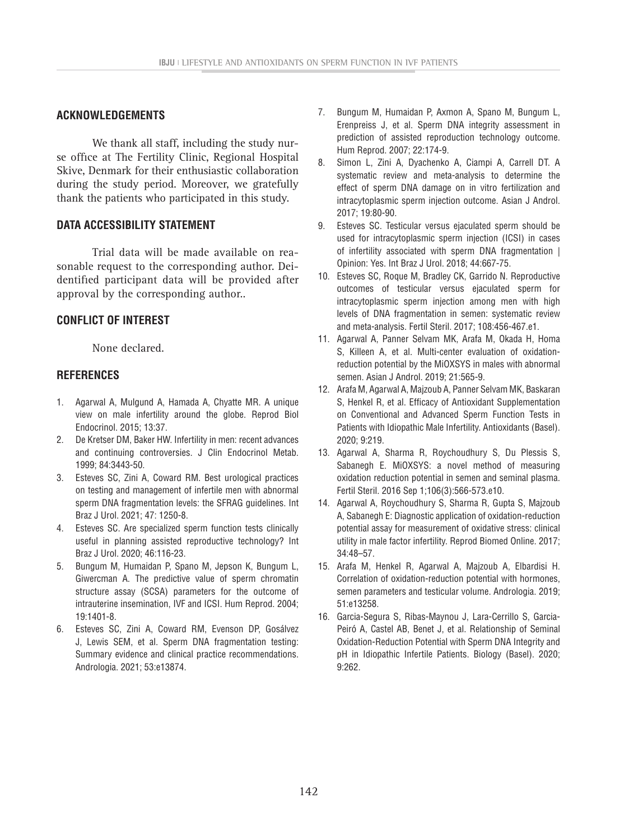## **ACKNOWLEDGEMENTS**

We thank all staff, including the study nurse office at The Fertility Clinic, Regional Hospital Skive, Denmark for their enthusiastic collaboration during the study period. Moreover, we gratefully thank the patients who participated in this study.

# **DATA ACCESSIBILITY STATEMENT**

Trial data will be made available on reasonable request to the corresponding author. Deidentified participant data will be provided after approval by the corresponding author..

# **CONFLICT OF INTEREST**

None declared.

### **REFERENCES**

- 1. Agarwal A, Mulgund A, Hamada A, Chyatte MR. A unique view on male infertility around the globe. Reprod Biol Endocrinol. 2015; 13:37.
- 2. De Kretser DM, Baker HW. Infertility in men: recent advances and continuing controversies. J Clin Endocrinol Metab. 1999; 84:3443-50.
- 3. Esteves SC, Zini A, Coward RM. Best urological practices on testing and management of infertile men with abnormal sperm DNA fragmentation levels: the SFRAG guidelines. Int Braz J Urol. 2021; 47: 1250-8.
- 4. Esteves SC. Are specialized sperm function tests clinically useful in planning assisted reproductive technology? Int Braz J Urol. 2020; 46:116-23.
- 5. Bungum M, Humaidan P, Spano M, Jepson K, Bungum L, Giwercman A. The predictive value of sperm chromatin structure assay (SCSA) parameters for the outcome of intrauterine insemination, IVF and ICSI. Hum Reprod. 2004; 19:1401-8.
- 6. Esteves SC, Zini A, Coward RM, Evenson DP, Gosálvez J, Lewis SEM, et al. Sperm DNA fragmentation testing: Summary evidence and clinical practice recommendations. Andrologia. 2021; 53:e13874.
- 7. Bungum M, Humaidan P, Axmon A, Spano M, Bungum L, Erenpreiss J, et al. Sperm DNA integrity assessment in prediction of assisted reproduction technology outcome. Hum Reprod. 2007; 22:174-9.
- 8. Simon L, Zini A, Dyachenko A, Ciampi A, Carrell DT. A systematic review and meta-analysis to determine the effect of sperm DNA damage on in vitro fertilization and intracytoplasmic sperm injection outcome. Asian J Androl. 2017; 19:80-90.
- 9. Esteves SC. Testicular versus ejaculated sperm should be used for intracytoplasmic sperm injection (ICSI) in cases of infertility associated with sperm DNA fragmentation | Opinion: Yes. Int Braz J Urol. 2018; 44:667-75.
- 10. Esteves SC, Roque M, Bradley CK, Garrido N. Reproductive outcomes of testicular versus ejaculated sperm for intracytoplasmic sperm injection among men with high levels of DNA fragmentation in semen: systematic review and meta-analysis. Fertil Steril. 2017; 108:456-467.e1.
- 11. Agarwal A, Panner Selvam MK, Arafa M, Okada H, Homa S, Killeen A, et al. Multi-center evaluation of oxidationreduction potential by the MiOXSYS in males with abnormal semen. Asian J Androl. 2019; 21:565-9.
- 12. Arafa M, Agarwal A, Majzoub A, Panner Selvam MK, Baskaran S, Henkel R, et al. Efficacy of Antioxidant Supplementation on Conventional and Advanced Sperm Function Tests in Patients with Idiopathic Male Infertility. Antioxidants (Basel). 2020; 9:219.
- 13. Agarwal A, Sharma R, Roychoudhury S, Du Plessis S, Sabanegh E. MiOXSYS: a novel method of measuring oxidation reduction potential in semen and seminal plasma. Fertil Steril. 2016 Sep 1;106(3):566-573.e10.
- 14. Agarwal A, Roychoudhury S, Sharma R, Gupta S, Majzoub A, Sabanegh E: Diagnostic application of oxidation-reduction potential assay for measurement of oxidative stress: clinical utility in male factor infertility. Reprod Biomed Online. 2017; 34:48–57.
- 15. Arafa M, Henkel R, Agarwal A, Majzoub A, Elbardisi H. Correlation of oxidation-reduction potential with hormones, semen parameters and testicular volume. Andrologia. 2019; 51:e13258.
- 16. Garcia-Segura S, Ribas-Maynou J, Lara-Cerrillo S, Garcia-Peiró A, Castel AB, Benet J, et al. Relationship of Seminal Oxidation-Reduction Potential with Sperm DNA Integrity and pH in Idiopathic Infertile Patients. Biology (Basel). 2020; 9:262.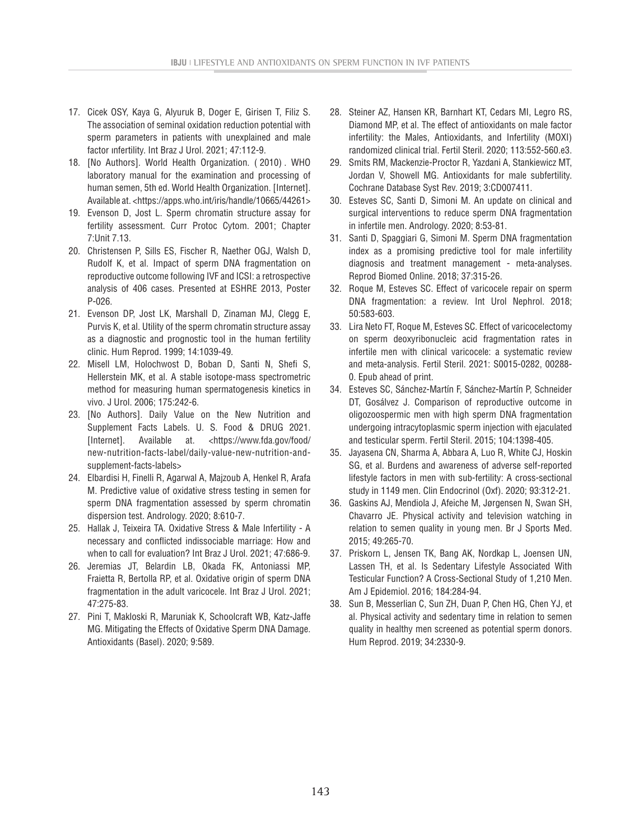- 17. Cicek OSY, Kaya G, Alyuruk B, Doger E, Girisen T, Filiz S. The association of seminal oxidation reduction potential with sperm parameters in patients with unexplained and male factor ınfertility. Int Braz J Urol. 2021; 47:112-9.
- 18. [No Authors]. World Health Organization. ( 2010) . WHO laboratory manual for the examination and processing of human semen, 5th ed. World Health Organization. [Internet]. Available at. <https://apps.who.int/iris/handle/10665/44261>
- 19. Evenson D, Jost L. Sperm chromatin structure assay for fertility assessment. Curr Protoc Cytom. 2001; Chapter 7:Unit 7.13.
- 20. Christensen P, Sills ES, Fischer R, Naether OGJ, Walsh D, Rudolf K, et al. Impact of sperm DNA fragmentation on reproductive outcome following IVF and ICSI: a retrospective analysis of 406 cases. Presented at ESHRE 2013, Poster P-026.
- 21. Evenson DP, Jost LK, Marshall D, Zinaman MJ, Clegg E, Purvis K, et al. Utility of the sperm chromatin structure assay as a diagnostic and prognostic tool in the human fertility clinic. Hum Reprod. 1999; 14:1039-49.
- 22. Misell LM, Holochwost D, Boban D, Santi N, Shefi S, Hellerstein MK, et al. A stable isotope-mass spectrometric method for measuring human spermatogenesis kinetics in vivo. J Urol. 2006; 175:242-6.
- 23. [No Authors]. Daily Value on the New Nutrition and Supplement Facts Labels. U. S. Food & DRUG 2021. [Internet]. Available at. <https://www.fda.gov/food/ new-nutrition-facts-label/daily-value-new-nutrition-andsupplement-facts-labels>
- 24. Elbardisi H, Finelli R, Agarwal A, Majzoub A, Henkel R, Arafa M. Predictive value of oxidative stress testing in semen for sperm DNA fragmentation assessed by sperm chromatin dispersion test. Andrology. 2020; 8:610-7.
- 25. Hallak J, Teixeira TA. Oxidative Stress & Male Infertility A necessary and conflicted indissociable marriage: How and when to call for evaluation? Int Braz J Urol. 2021; 47:686-9.
- 26. Jeremias JT, Belardin LB, Okada FK, Antoniassi MP, Fraietta R, Bertolla RP, et al. Oxidative origin of sperm DNA fragmentation in the adult varicocele. Int Braz J Urol. 2021; 47:275-83.
- 27. Pini T, Makloski R, Maruniak K, Schoolcraft WB, Katz-Jaffe MG. Mitigating the Effects of Oxidative Sperm DNA Damage. Antioxidants (Basel). 2020; 9:589.
- 28. Steiner AZ, Hansen KR, Barnhart KT, Cedars MI, Legro RS, Diamond MP, et al. The effect of antioxidants on male factor infertility: the Males, Antioxidants, and Infertility (MOXI) randomized clinical trial. Fertil Steril. 2020; 113:552-560.e3.
- 29. Smits RM, Mackenzie-Proctor R, Yazdani A, Stankiewicz MT, Jordan V, Showell MG. Antioxidants for male subfertility. Cochrane Database Syst Rev. 2019; 3:CD007411.
- 30. Esteves SC, Santi D, Simoni M. An update on clinical and surgical interventions to reduce sperm DNA fragmentation in infertile men. Andrology. 2020; 8:53-81.
- 31. Santi D, Spaggiari G, Simoni M. Sperm DNA fragmentation index as a promising predictive tool for male infertility diagnosis and treatment management - meta-analyses. Reprod Biomed Online. 2018; 37:315-26.
- 32. Roque M, Esteves SC. Effect of varicocele repair on sperm DNA fragmentation: a review. Int Urol Nephrol. 2018; 50:583-603.
- 33. Lira Neto FT, Roque M, Esteves SC. Effect of varicocelectomy on sperm deoxyribonucleic acid fragmentation rates in infertile men with clinical varicocele: a systematic review and meta-analysis. Fertil Steril. 2021: S0015-0282, 00288- 0. Epub ahead of print.
- 34. Esteves SC, Sánchez-Martín F, Sánchez-Martín P, Schneider DT, Gosálvez J. Comparison of reproductive outcome in oligozoospermic men with high sperm DNA fragmentation undergoing intracytoplasmic sperm injection with ejaculated and testicular sperm. Fertil Steril. 2015; 104:1398-405.
- 35. Jayasena CN, Sharma A, Abbara A, Luo R, White CJ, Hoskin SG, et al. Burdens and awareness of adverse self-reported lifestyle factors in men with sub-fertility: A cross-sectional study in 1149 men. Clin Endocrinol (Oxf). 2020; 93:312-21.
- 36. Gaskins AJ, Mendiola J, Afeiche M, Jørgensen N, Swan SH, Chavarro JE. Physical activity and television watching in relation to semen quality in young men. Br J Sports Med. 2015; 49:265-70.
- 37. Priskorn L, Jensen TK, Bang AK, Nordkap L, Joensen UN, Lassen TH, et al. Is Sedentary Lifestyle Associated With Testicular Function? A Cross-Sectional Study of 1,210 Men. Am J Epidemiol. 2016; 184:284-94.
- 38. Sun B, Messerlian C, Sun ZH, Duan P, Chen HG, Chen YJ, et al. Physical activity and sedentary time in relation to semen quality in healthy men screened as potential sperm donors. Hum Reprod. 2019; 34:2330-9.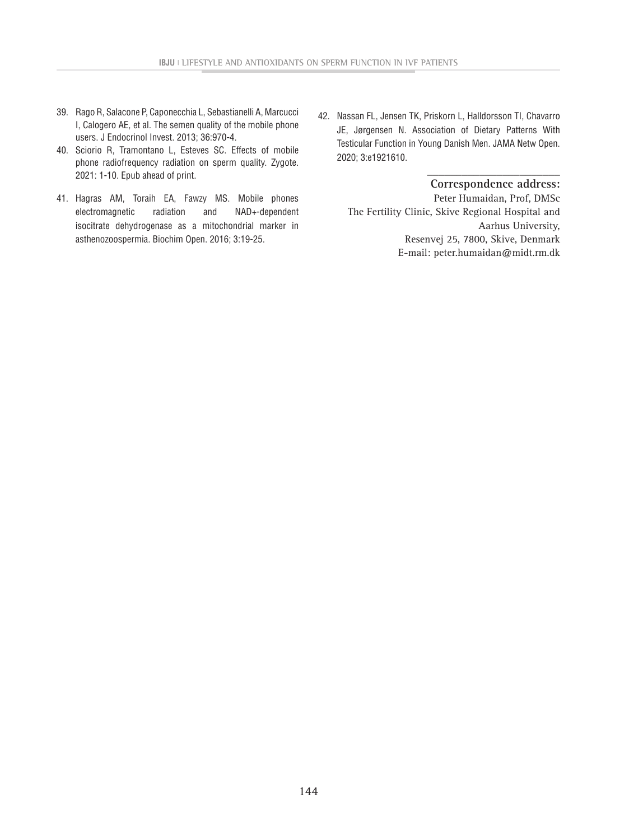- 39. Rago R, Salacone P, Caponecchia L, Sebastianelli A, Marcucci I, Calogero AE, et al. The semen quality of the mobile phone users. J Endocrinol Invest. 2013; 36:970-4.
- 40. Sciorio R, Tramontano L, Esteves SC. Effects of mobile phone radiofrequency radiation on sperm quality. Zygote. 2021: 1-10. Epub ahead of print.
- 41. Hagras AM, Toraih EA, Fawzy MS. Mobile phones electromagnetic radiation and NAD+-dependent isocitrate dehydrogenase as a mitochondrial marker in asthenozoospermia. Biochim Open. 2016; 3:19-25.
- 42. Nassan FL, Jensen TK, Priskorn L, Halldorsson TI, Chavarro JE, Jørgensen N. Association of Dietary Patterns With Testicular Function in Young Danish Men. JAMA Netw Open. 2020; 3:e1921610.

#### **\_\_\_\_\_\_\_\_\_\_\_\_\_\_\_\_\_\_\_\_\_\_\_ Correspondence address:**

Peter Humaidan, Prof, DMSc The Fertility Clinic, Skive Regional Hospital and Aarhus University, Resenvej 25, 7800, Skive, Denmark E-mail: peter.humaidan@midt.rm.dk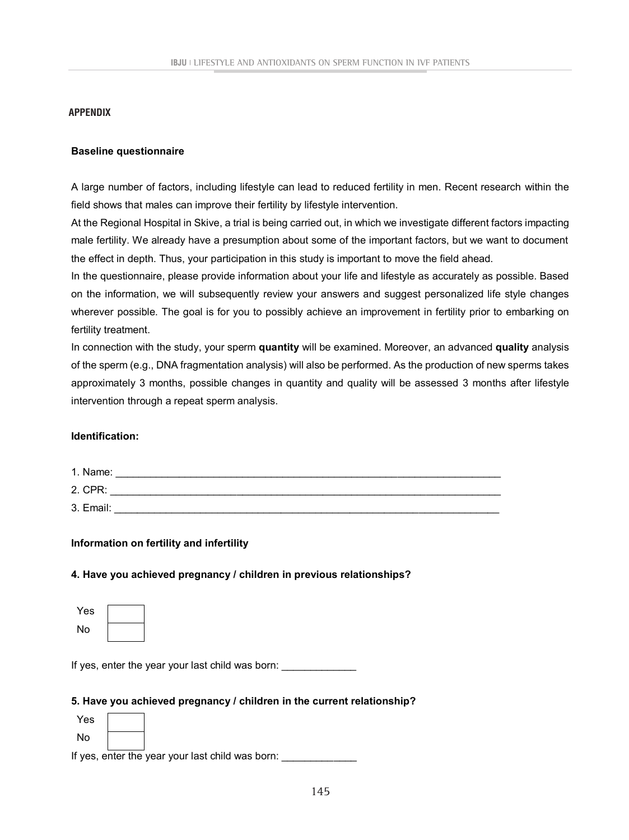### **APPENDIX**

#### **Baseline questionnaire**

A large number of factors, including lifestyle can lead to reduced fertility in men. Recent research within the field shows that males can improve their fertility by lifestyle intervention.

At the Regional Hospital in Skive, a trial is being carried out, in which we investigate different factors impacting male fertility. We already have a presumption about some of the important factors, but we want to document the effect in depth. Thus, your participation in this study is important to move the field ahead.

In the questionnaire, please provide information about your life and lifestyle as accurately as possible. Based on the information, we will subsequently review your answers and suggest personalized life style changes wherever possible. The goal is for you to possibly achieve an improvement in fertility prior to embarking on fertility treatment.

In connection with the study, your sperm **quantity** will be examined. Moreover, an advanced **quality** analysis of the sperm (e.g., DNA fragmentation analysis) will also be performed. As the production of new sperms takes approximately 3 months, possible changes in quantity and quality will be assessed 3 months after lifestyle intervention through a repeat sperm analysis.

## **Identification:**

| 1. Name:  |  |
|-----------|--|
| 2. CPR:   |  |
| 3. Email: |  |

**Information on fertility and infertility**

### **4. Have you achieved pregnancy / children in previous relationships?**

| Yes |  |
|-----|--|
| No  |  |

If yes, enter the year your last child was born:

#### **5. Have you achieved pregnancy / children in the current relationship?**

| Yes |  |
|-----|--|
| No  |  |

If yes, enter the year your last child was born: \_\_\_\_\_\_\_\_\_\_\_\_\_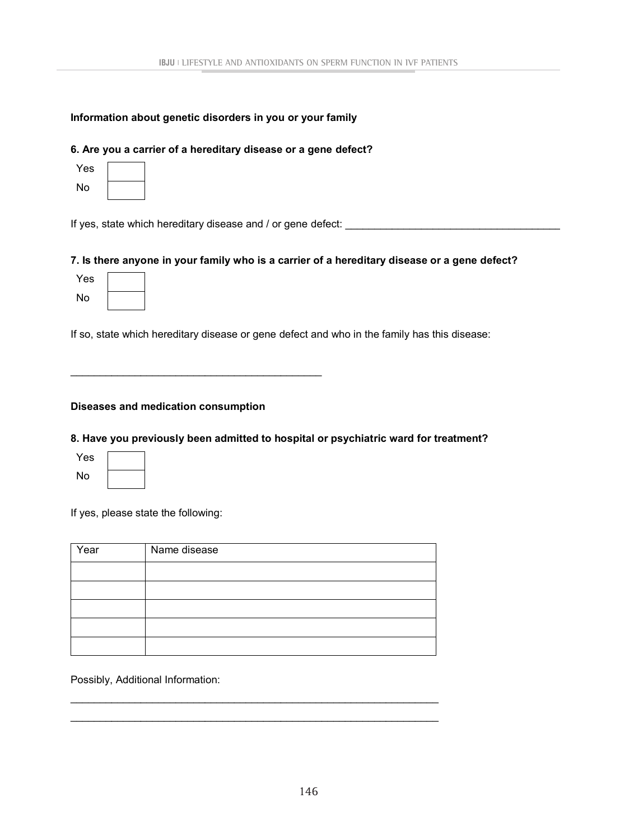# **Information about genetic disorders in you or your family**

# **6. Are you a carrier of a hereditary disease or a gene defect?**

| Yes |  |
|-----|--|
| No  |  |

If yes, state which hereditary disease and / or gene defect: \_\_\_\_\_\_\_\_\_\_\_\_\_\_\_\_\_\_\_\_

# **7. Is there anyone in your family who is a carrier of a hereditary disease or a gene defect?**

| Yes |  |
|-----|--|
| No  |  |

If so, state which hereditary disease or gene defect and who in the family has this disease:

# **Diseases and medication consumption**

\_\_\_\_\_\_\_\_\_\_\_\_\_\_\_\_\_\_\_\_\_\_\_\_\_\_\_\_\_\_\_\_\_\_\_\_\_\_\_\_\_\_\_

# **8. Have you previously been admitted to hospital or psychiatric ward for treatment?**

| Yes |  |
|-----|--|
| No  |  |

If yes, please state the following:

| Year | Name disease |
|------|--------------|
|      |              |
|      |              |
|      |              |
|      |              |
|      |              |

\_\_\_\_\_\_\_\_\_\_\_\_\_\_\_\_\_\_\_\_\_\_\_\_\_\_\_\_\_\_\_\_\_\_\_\_\_\_\_\_\_\_\_\_\_\_\_\_\_\_\_\_\_\_\_\_\_\_\_\_\_\_\_ \_\_\_\_\_\_\_\_\_\_\_\_\_\_\_\_\_\_\_\_\_\_\_\_\_\_\_\_\_\_\_\_\_\_\_\_\_\_\_\_\_\_\_\_\_\_\_\_\_\_\_\_\_\_\_\_\_\_\_\_\_\_\_

Possibly, Additional Information: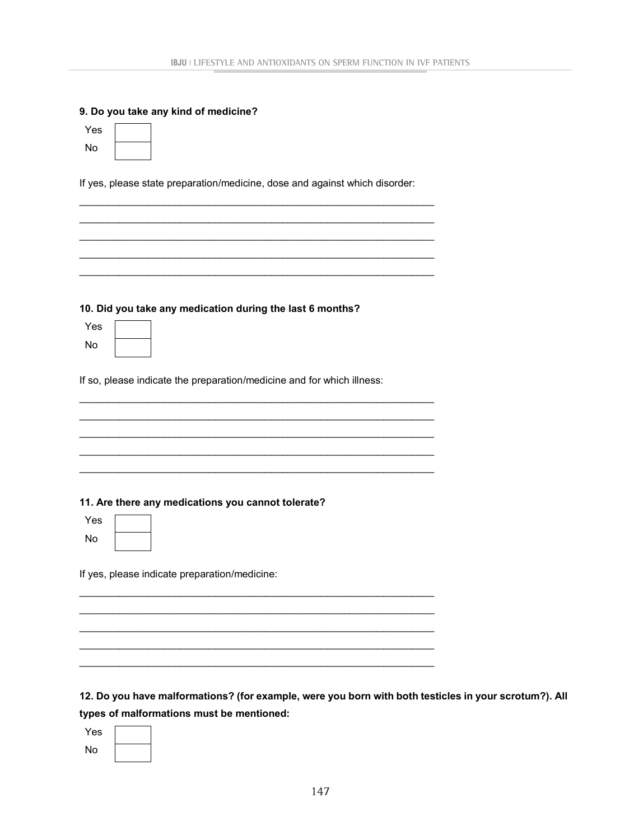#### **9. Do you take any kind of medicine?**

| Yes |  |
|-----|--|
| No  |  |

If yes, please state preparation/medicine, dose and against which disorder:

\_\_\_\_\_\_\_\_\_\_\_\_\_\_\_\_\_\_\_\_\_\_\_\_\_\_\_\_\_\_\_\_\_\_\_\_\_\_\_\_\_\_\_\_\_\_\_\_\_\_\_\_\_\_\_\_\_\_\_\_\_\_\_ \_\_\_\_\_\_\_\_\_\_\_\_\_\_\_\_\_\_\_\_\_\_\_\_\_\_\_\_\_\_\_\_\_\_\_\_\_\_\_\_\_\_\_\_\_\_\_\_\_\_\_\_\_\_\_\_\_\_\_\_\_\_\_ \_\_\_\_\_\_\_\_\_\_\_\_\_\_\_\_\_\_\_\_\_\_\_\_\_\_\_\_\_\_\_\_\_\_\_\_\_\_\_\_\_\_\_\_\_\_\_\_\_\_\_\_\_\_\_\_\_\_\_\_\_\_\_ \_\_\_\_\_\_\_\_\_\_\_\_\_\_\_\_\_\_\_\_\_\_\_\_\_\_\_\_\_\_\_\_\_\_\_\_\_\_\_\_\_\_\_\_\_\_\_\_\_\_\_\_\_\_\_\_\_\_\_\_\_\_\_ \_\_\_\_\_\_\_\_\_\_\_\_\_\_\_\_\_\_\_\_\_\_\_\_\_\_\_\_\_\_\_\_\_\_\_\_\_\_\_\_\_\_\_\_\_\_\_\_\_\_\_\_\_\_\_\_\_\_\_\_\_\_\_

|  |  |  |  | 10. Did you take any medication during the last 6 months? |  |  |  |  |
|--|--|--|--|-----------------------------------------------------------|--|--|--|--|
|--|--|--|--|-----------------------------------------------------------|--|--|--|--|

Yes No

If so, please indicate the preparation/medicine and for which illness:

\_\_\_\_\_\_\_\_\_\_\_\_\_\_\_\_\_\_\_\_\_\_\_\_\_\_\_\_\_\_\_\_\_\_\_\_\_\_\_\_\_\_\_\_\_\_\_\_\_\_\_\_\_\_\_\_\_\_\_\_\_\_\_ \_\_\_\_\_\_\_\_\_\_\_\_\_\_\_\_\_\_\_\_\_\_\_\_\_\_\_\_\_\_\_\_\_\_\_\_\_\_\_\_\_\_\_\_\_\_\_\_\_\_\_\_\_\_\_\_\_\_\_\_\_\_\_ \_\_\_\_\_\_\_\_\_\_\_\_\_\_\_\_\_\_\_\_\_\_\_\_\_\_\_\_\_\_\_\_\_\_\_\_\_\_\_\_\_\_\_\_\_\_\_\_\_\_\_\_\_\_\_\_\_\_\_\_\_\_\_ \_\_\_\_\_\_\_\_\_\_\_\_\_\_\_\_\_\_\_\_\_\_\_\_\_\_\_\_\_\_\_\_\_\_\_\_\_\_\_\_\_\_\_\_\_\_\_\_\_\_\_\_\_\_\_\_\_\_\_\_\_\_\_ \_\_\_\_\_\_\_\_\_\_\_\_\_\_\_\_\_\_\_\_\_\_\_\_\_\_\_\_\_\_\_\_\_\_\_\_\_\_\_\_\_\_\_\_\_\_\_\_\_\_\_\_\_\_\_\_\_\_\_\_\_\_\_

\_\_\_\_\_\_\_\_\_\_\_\_\_\_\_\_\_\_\_\_\_\_\_\_\_\_\_\_\_\_\_\_\_\_\_\_\_\_\_\_\_\_\_\_\_\_\_\_\_\_\_\_\_\_\_\_\_\_\_\_\_\_\_ \_\_\_\_\_\_\_\_\_\_\_\_\_\_\_\_\_\_\_\_\_\_\_\_\_\_\_\_\_\_\_\_\_\_\_\_\_\_\_\_\_\_\_\_\_\_\_\_\_\_\_\_\_\_\_\_\_\_\_\_\_\_\_ \_\_\_\_\_\_\_\_\_\_\_\_\_\_\_\_\_\_\_\_\_\_\_\_\_\_\_\_\_\_\_\_\_\_\_\_\_\_\_\_\_\_\_\_\_\_\_\_\_\_\_\_\_\_\_\_\_\_\_\_\_\_\_ \_\_\_\_\_\_\_\_\_\_\_\_\_\_\_\_\_\_\_\_\_\_\_\_\_\_\_\_\_\_\_\_\_\_\_\_\_\_\_\_\_\_\_\_\_\_\_\_\_\_\_\_\_\_\_\_\_\_\_\_\_\_\_ \_\_\_\_\_\_\_\_\_\_\_\_\_\_\_\_\_\_\_\_\_\_\_\_\_\_\_\_\_\_\_\_\_\_\_\_\_\_\_\_\_\_\_\_\_\_\_\_\_\_\_\_\_\_\_\_\_\_\_\_\_\_\_

### **11. Are there any medications you cannot tolerate?**

Yes No

If yes, please indicate preparation/medicine:

# **12. Do you have malformations? (for example, were you born with both testicles in your scrotum?). All types of malformations must be mentioned:**

| Yes |  |
|-----|--|
| No  |  |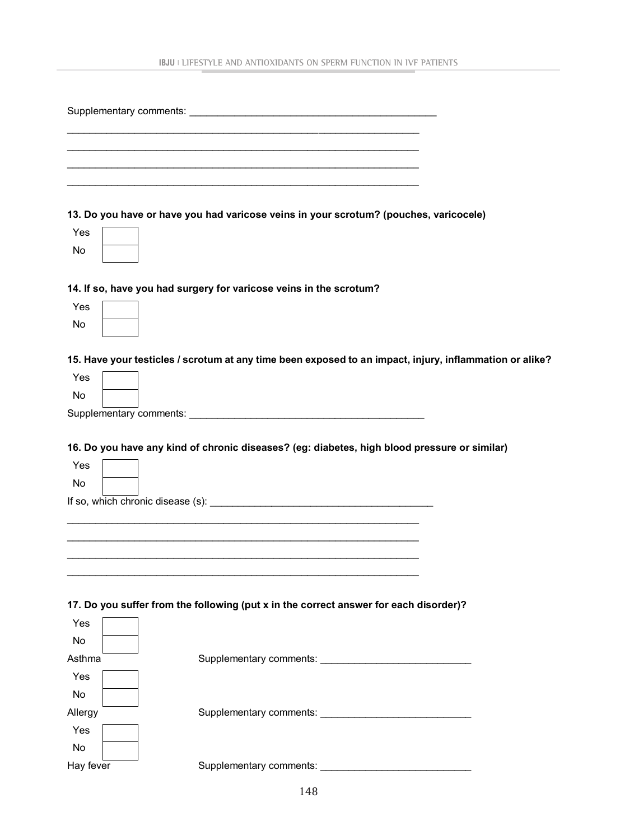|           | 13. Do you have or have you had varicose veins in your scrotum? (pouches, varicocele)                                                                                                                     |
|-----------|-----------------------------------------------------------------------------------------------------------------------------------------------------------------------------------------------------------|
| Yes       |                                                                                                                                                                                                           |
| No        |                                                                                                                                                                                                           |
|           |                                                                                                                                                                                                           |
|           | 14. If so, have you had surgery for varicose veins in the scrotum?                                                                                                                                        |
| Yes       |                                                                                                                                                                                                           |
| No        |                                                                                                                                                                                                           |
|           |                                                                                                                                                                                                           |
|           | 15. Have your testicles / scrotum at any time been exposed to an impact, injury, inflammation or alike?                                                                                                   |
| Yes       |                                                                                                                                                                                                           |
| No        |                                                                                                                                                                                                           |
|           |                                                                                                                                                                                                           |
| Yes<br>No | 16. Do you have any kind of chronic diseases? (eg: diabetes, high blood pressure or similar)<br>If so, which chronic disease (s): <u>container and the container and the container and the containing</u> |
|           |                                                                                                                                                                                                           |
|           |                                                                                                                                                                                                           |
|           |                                                                                                                                                                                                           |
|           |                                                                                                                                                                                                           |
|           | 17. Do you suffer from the following (put x in the correct answer for each disorder)?                                                                                                                     |
| Yes       |                                                                                                                                                                                                           |
| No        |                                                                                                                                                                                                           |
| Asthma    |                                                                                                                                                                                                           |
| Yes       |                                                                                                                                                                                                           |
| No        |                                                                                                                                                                                                           |
| Allergy   |                                                                                                                                                                                                           |
| Yes       |                                                                                                                                                                                                           |
| No        |                                                                                                                                                                                                           |
| Hay fever |                                                                                                                                                                                                           |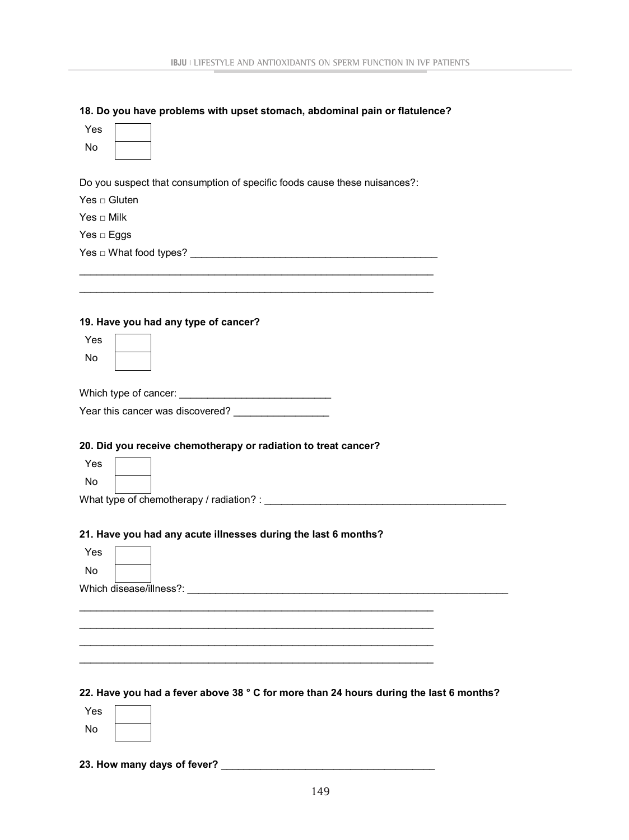### **18. Do you have problems with upset stomach, abdominal pain or flatulence?**

| Yes |  |
|-----|--|
| No  |  |

Do you suspect that consumption of specific foods cause these nuisances?:

\_\_\_\_\_\_\_\_\_\_\_\_\_\_\_\_\_\_\_\_\_\_\_\_\_\_\_\_\_\_\_\_\_\_\_\_\_\_\_\_\_\_\_\_\_\_\_\_\_\_\_\_\_\_\_\_\_\_\_\_\_\_\_ \_\_\_\_\_\_\_\_\_\_\_\_\_\_\_\_\_\_\_\_\_\_\_\_\_\_\_\_\_\_\_\_\_\_\_\_\_\_\_\_\_\_\_\_\_\_\_\_\_\_\_\_\_\_\_\_\_\_\_\_\_\_\_

 $Yes \sqcap Gluten$ 

Yes □ Milk

Yes □ Eggs

Yes □ What food types? \_\_\_\_\_\_\_\_\_\_\_\_\_\_\_\_\_\_\_\_\_\_\_\_\_\_\_\_\_\_\_\_\_\_\_\_\_\_\_\_\_\_\_\_

### **19. Have you had any type of cancer?**

| Y<br>es |  |
|---------|--|
| No      |  |

Which type of cancer: \_\_\_\_\_\_\_\_\_\_\_\_\_\_\_\_\_\_\_\_\_\_\_\_\_\_\_

|  |  | Year this cancer was discovered? |  |
|--|--|----------------------------------|--|
|  |  |                                  |  |

## **20. Did you receive chemotherapy or radiation to treat cancer?**

| Yes |  |
|-----|--|
| No  |  |

What type of chemotherapy / radiation? : \_\_\_\_\_\_\_\_\_\_\_\_\_\_\_\_\_\_\_\_\_\_\_\_\_\_\_\_\_\_\_\_\_\_\_\_\_\_\_\_\_\_\_

#### **21. Have you had any acute illnesses during the last 6 months?**

| Yes |                                                                                        |  |  |  |  |  |
|-----|----------------------------------------------------------------------------------------|--|--|--|--|--|
| No  |                                                                                        |  |  |  |  |  |
|     | Which disease/illness?:                                                                |  |  |  |  |  |
|     |                                                                                        |  |  |  |  |  |
|     |                                                                                        |  |  |  |  |  |
|     |                                                                                        |  |  |  |  |  |
|     |                                                                                        |  |  |  |  |  |
|     | 22. Have you had a fever above 38 ° C for more than 24 hours during the last 6 months? |  |  |  |  |  |
| Yes |                                                                                        |  |  |  |  |  |
| No  |                                                                                        |  |  |  |  |  |

**23. How many days of fever?** \_\_\_\_\_\_\_\_\_\_\_\_\_\_\_\_\_\_\_\_\_\_\_\_\_\_\_\_\_\_\_\_\_\_\_\_\_\_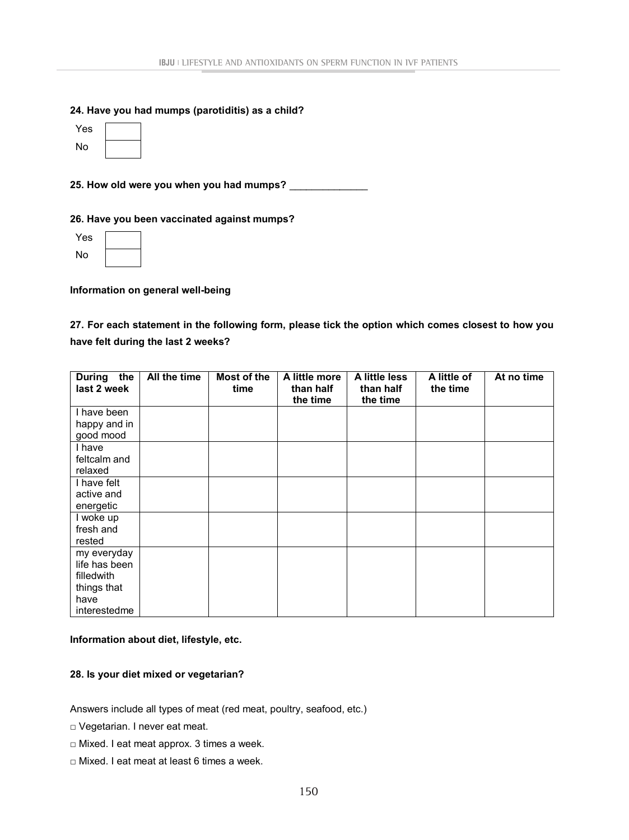### **24. Have you had mumps (parotiditis) as a child?**

| Yes |  |
|-----|--|
| No  |  |

**25. How old were you when you had mumps?** \_\_\_\_\_\_\_\_\_\_\_\_\_\_

## **26. Have you been vaccinated against mumps?**

| Yes |  |
|-----|--|
| No  |  |

**Information on general well-being**

**27. For each statement in the following form, please tick the option which comes closest to how you have felt during the last 2 weeks?**

| the<br><b>During</b><br>last 2 week | All the time | Most of the<br>time | A little more<br>than half | A little less<br>than half | A little of<br>the time | At no time |
|-------------------------------------|--------------|---------------------|----------------------------|----------------------------|-------------------------|------------|
|                                     |              |                     | the time                   | the time                   |                         |            |
| I have been                         |              |                     |                            |                            |                         |            |
| happy and in                        |              |                     |                            |                            |                         |            |
| good mood                           |              |                     |                            |                            |                         |            |
| I have                              |              |                     |                            |                            |                         |            |
| feltcalm and                        |              |                     |                            |                            |                         |            |
| relaxed                             |              |                     |                            |                            |                         |            |
| I have felt                         |              |                     |                            |                            |                         |            |
| active and                          |              |                     |                            |                            |                         |            |
| energetic                           |              |                     |                            |                            |                         |            |
| I woke up                           |              |                     |                            |                            |                         |            |
| fresh and                           |              |                     |                            |                            |                         |            |
| rested                              |              |                     |                            |                            |                         |            |
| my everyday                         |              |                     |                            |                            |                         |            |
| life has been                       |              |                     |                            |                            |                         |            |
| filledwith                          |              |                     |                            |                            |                         |            |
| things that                         |              |                     |                            |                            |                         |            |
| have                                |              |                     |                            |                            |                         |            |
| interestedme                        |              |                     |                            |                            |                         |            |

## **Information about diet, lifestyle, etc.**

### **28. Is your diet mixed or vegetarian?**

Answers include all types of meat (red meat, poultry, seafood, etc.)

- □ Vegetarian. I never eat meat.
- □ Mixed. I eat meat approx. 3 times a week.
- □ Mixed. I eat meat at least 6 times a week.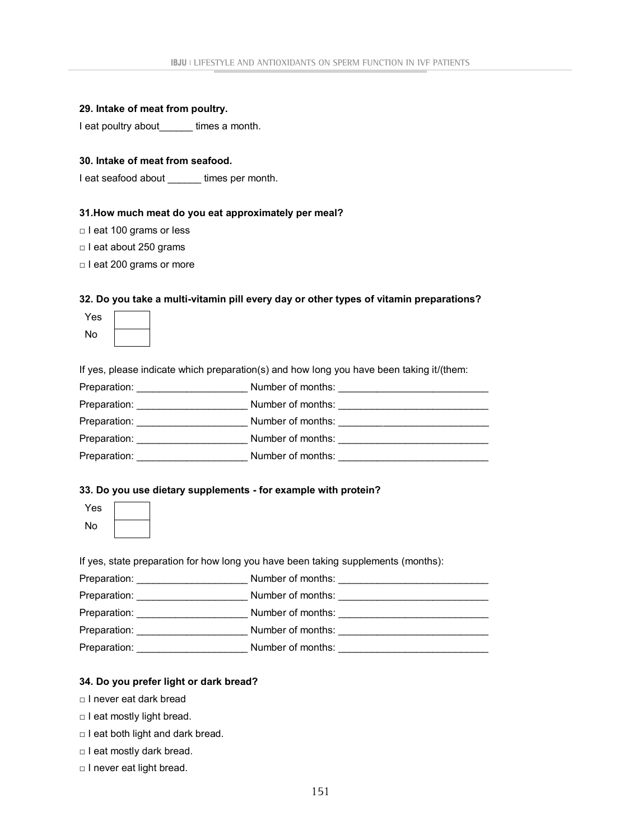|  |  |  |  |  | 29. Intake of meat from poultry. |
|--|--|--|--|--|----------------------------------|
|--|--|--|--|--|----------------------------------|

I eat poultry about \_\_\_\_\_\_ times a month.

### **30. Intake of meat from seafood.**

I eat seafood about **times per month.** 

#### **31.How much meat do you eat approximately per meal?**

□ I eat 100 grams or less

□ I eat about 250 grams

□ I eat 200 grams or more

#### **32. Do you take a multi-vitamin pill every day or other types of vitamin preparations?**

| Yes |  |
|-----|--|
| No  |  |

If yes, please indicate which preparation(s) and how long you have been taking it/(them:

| Number of months: |
|-------------------|
| Number of months: |
| Number of months: |
| Number of months: |
| Number of months: |
|                   |

### **33. Do you use dietary supplements - for example with protein?**

| es |  |
|----|--|
| Nο |  |

If yes, state preparation for how long you have been taking supplements (months):

| Preparation: | Number of months: |
|--------------|-------------------|
| Preparation: | Number of months: |
| Preparation: | Number of months: |
| Preparation: | Number of months: |
| Preparation: | Number of months: |

### **34. Do you prefer light or dark bread?**

□ I never eat dark bread

- □ I eat mostly light bread.
- □ I eat both light and dark bread.
- □ I eat mostly dark bread.
- □ I never eat light bread.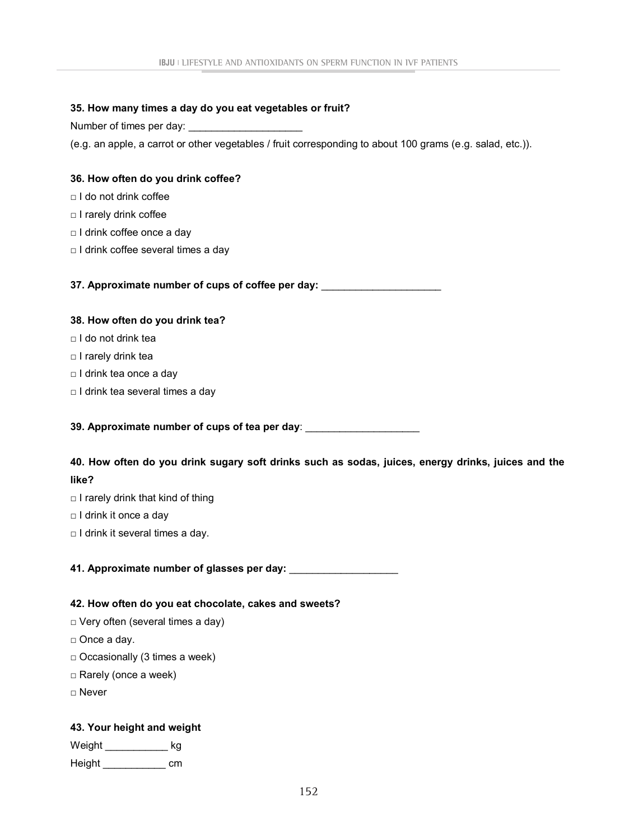### **35. How many times a day do you eat vegetables or fruit?**

Number of times per day:

(e.g. an apple, a carrot or other vegetables / fruit corresponding to about 100 grams (e.g. salad, etc.)).

## **36. How often do you drink coffee?**

- □ I do not drink coffee
- □ I rarely drink coffee
- □ I drink coffee once a day
- □ I drink coffee several times a day

**37. Approximate number of cups of coffee per day:** \_\_\_\_\_\_\_\_\_\_\_\_\_\_\_\_\_\_\_\_\_

## **38. How often do you drink tea?**

- □ I do not drink tea
- □ I rarely drink tea
- □ I drink tea once a day
- □ I drink tea several times a day

**39. Approximate number of cups of tea per day**: \_\_\_\_\_\_\_\_\_\_\_\_\_\_\_\_\_\_\_\_

**40. How often do you drink sugary soft drinks such as sodas, juices, energy drinks, juices and the like?**

- $\Box$  I rarely drink that kind of thing
- □ I drink it once a day
- □ I drink it several times a day.

**41. Approximate number of glasses per day:** \_\_\_\_\_\_\_\_\_\_\_\_\_\_\_\_\_\_\_

### **42. How often do you eat chocolate, cakes and sweets?**

- □ Very often (several times a day)
- □ Once a day.
- $\square$  Occasionally (3 times a week)
- □ Rarely (once a week)
- □ Never

# **43. Your height and weight**

| Weight | kg |
|--------|----|
| Height | cm |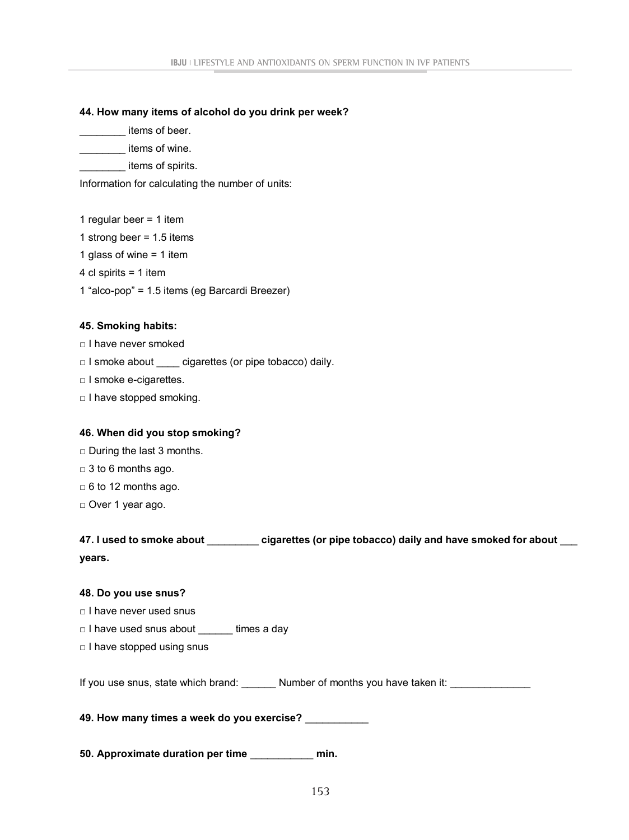### **44. How many items of alcohol do you drink per week?**

\_\_\_\_\_\_\_\_ items of beer.

\_\_\_\_\_\_\_\_ items of wine.

items of spirits.

Information for calculating the number of units:

1 regular beer = 1 item

1 strong beer = 1.5 items

1 glass of wine = 1 item

4 cl spirits = 1 item

1 "alco-pop" = 1.5 items (eg Barcardi Breezer)

## **45. Smoking habits:**

□ I have never smoked

□ I smoke about \_\_\_\_ cigarettes (or pipe tobacco) daily.

□ I smoke e-cigarettes.

□ I have stopped smoking.

# **46. When did you stop smoking?**

□ During the last 3 months.

 $\Box$  3 to 6 months ago.

 $\Box$  6 to 12 months ago.

□ Over 1 year ago.

| 47. I used to smoke about | cigarettes (or pipe tobacco) daily and have smoked for about |
|---------------------------|--------------------------------------------------------------|
| vears.                    |                                                              |

### **48. Do you use snus?**

□ I have never used snus

□ I have used snus about \_\_\_\_\_\_ times a day

□ I have stopped using snus

If you use snus, state which brand: \_\_\_\_\_\_\_ Number of months you have taken it: \_\_\_\_\_\_\_\_\_\_\_\_\_

**49. How many times a week do you exercise?** \_\_\_\_\_\_\_\_\_\_\_

**50. Approximate duration per time** \_\_\_\_\_\_\_\_\_\_\_ **min.**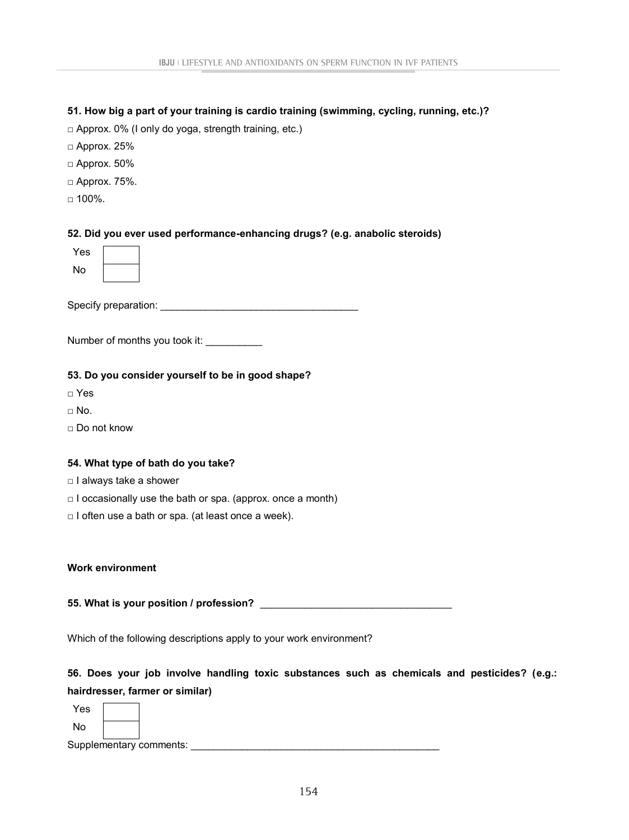### **51. How big a part of your training is cardio training (swimming, cycling, running, etc.)?**

 $\Box$  Approx. 0% (I only do yoga, strength training, etc.)

- $\Box$  Approx. 25%
- $\square$  Approx. 50%
- □ Approx. 75%.
- $\Box$  100%.

### **52. Did you ever used performance-enhancing drugs? (e.g. anabolic steroids)**

| Yes |  |
|-----|--|
| No  |  |

Specify preparation: \_\_\_\_\_\_\_\_\_\_\_\_\_\_\_\_\_\_\_\_\_\_\_\_\_\_\_\_\_\_\_\_\_\_\_

Number of months you took it:

#### **53. Do you consider yourself to be in good shape?**

- □ Yes
- $\sqcap$  No.
- □ Do not know

### **54. What type of bath do you take?**

- □ I always take a shower
- $\Box$  I occasionally use the bath or spa. (approx. once a month)
- □ I often use a bath or spa. (at least once a week).

#### **Work environment**

**55. What is your position / profession?** \_\_\_\_\_\_\_\_\_\_\_\_\_\_\_\_\_\_\_\_\_\_\_\_\_\_\_\_\_\_\_\_\_\_

Which of the following descriptions apply to your work environment?

# **56. Does your job involve handling toxic substances such as chemicals and pesticides? (e.g.: hairdresser, farmer or similar)**

Yes No

Supplementary comments: \_\_\_\_\_\_\_\_\_\_\_\_\_\_\_\_\_\_\_\_\_\_\_\_\_\_\_\_\_\_\_\_\_\_\_\_\_\_\_\_\_\_\_\_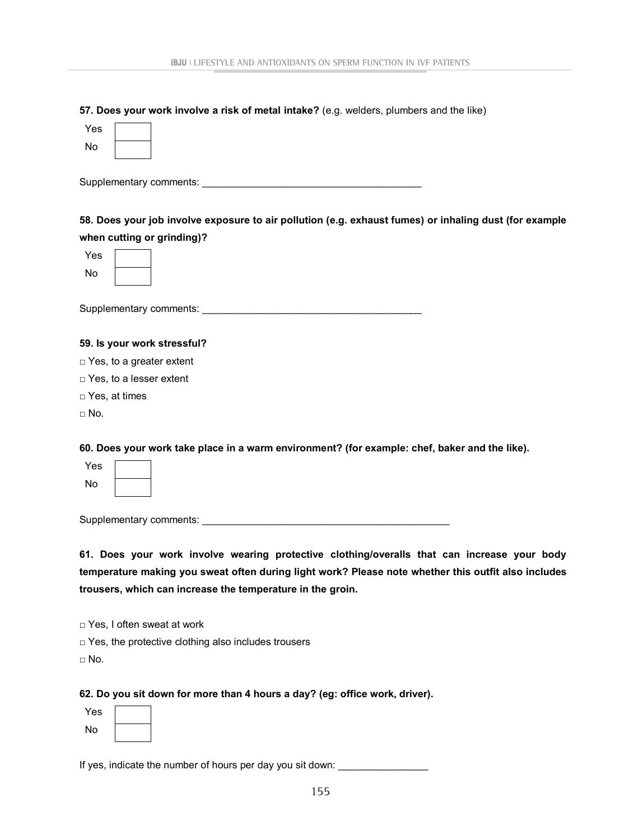| 57. Does your work involve a risk of metal intake? (e.g. welders, plumbers and the like) |  |
|------------------------------------------------------------------------------------------|--|
|------------------------------------------------------------------------------------------|--|

| Yes        |                                                                                                        |
|------------|--------------------------------------------------------------------------------------------------------|
| No         |                                                                                                        |
|            |                                                                                                        |
|            |                                                                                                        |
|            |                                                                                                        |
|            | 58. Does your job involve exposure to air pollution (e.g. exhaust fumes) or inhaling dust (for example |
|            | when cutting or grinding)?                                                                             |
| Yes        |                                                                                                        |
| No         |                                                                                                        |
|            |                                                                                                        |
|            |                                                                                                        |
|            |                                                                                                        |
|            | 59. Is your work stressful?                                                                            |
|            | $\Box$ Yes, to a greater extent                                                                        |
|            | □ Yes, to a lesser extent                                                                              |
|            | $\Box$ Yes, at times                                                                                   |
| $\Box$ No. |                                                                                                        |
|            |                                                                                                        |
|            | 60. Does your work take place in a warm environment? (for example: chef, baker and the like).          |
| Yes        |                                                                                                        |
| No         |                                                                                                        |
|            |                                                                                                        |
|            | Supplementary comments:                                                                                |

**61. Does your work involve wearing protective clothing/overalls that can increase your body temperature making you sweat often during light work? Please note whether this outfit also includes trousers, which can increase the temperature in the groin.**

□ Yes, I often sweat at work

□ Yes, the protective clothing also includes trousers

 $\Box$  No.

#### **62. Do you sit down for more than 4 hours a day? (eg: office work, driver).**

| Yes |  |
|-----|--|
| No  |  |

If yes, indicate the number of hours per day you sit down: \_\_\_\_\_\_\_\_\_\_\_\_\_\_\_\_\_\_\_\_\_